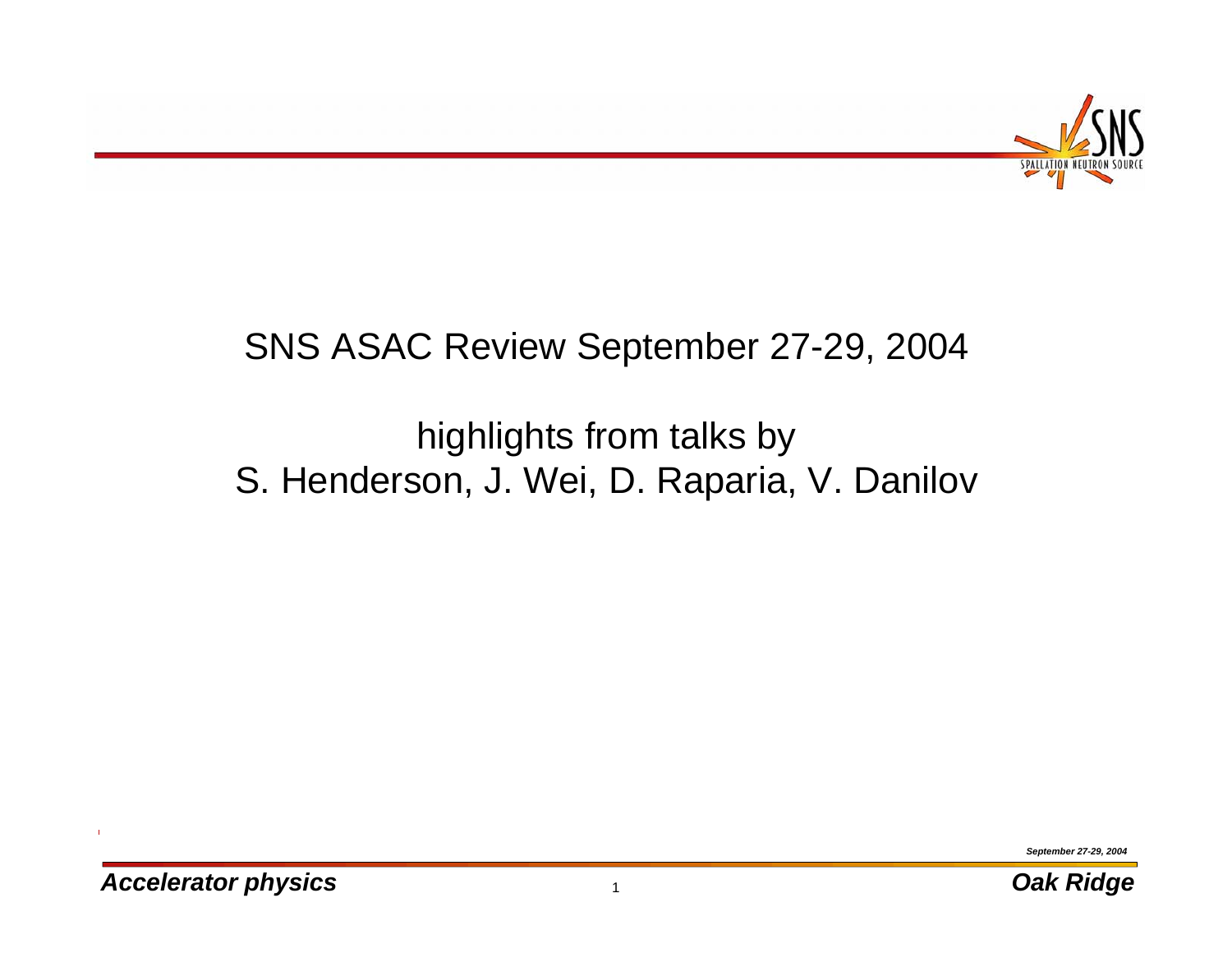

#### SNS ASAC Review September 27-29, 2004

#### highlights from talks by S. Henderson, J. Wei, D. Raparia, V. Danilov

*September 27-29, 2004*

 $\mathbf{I}$ 

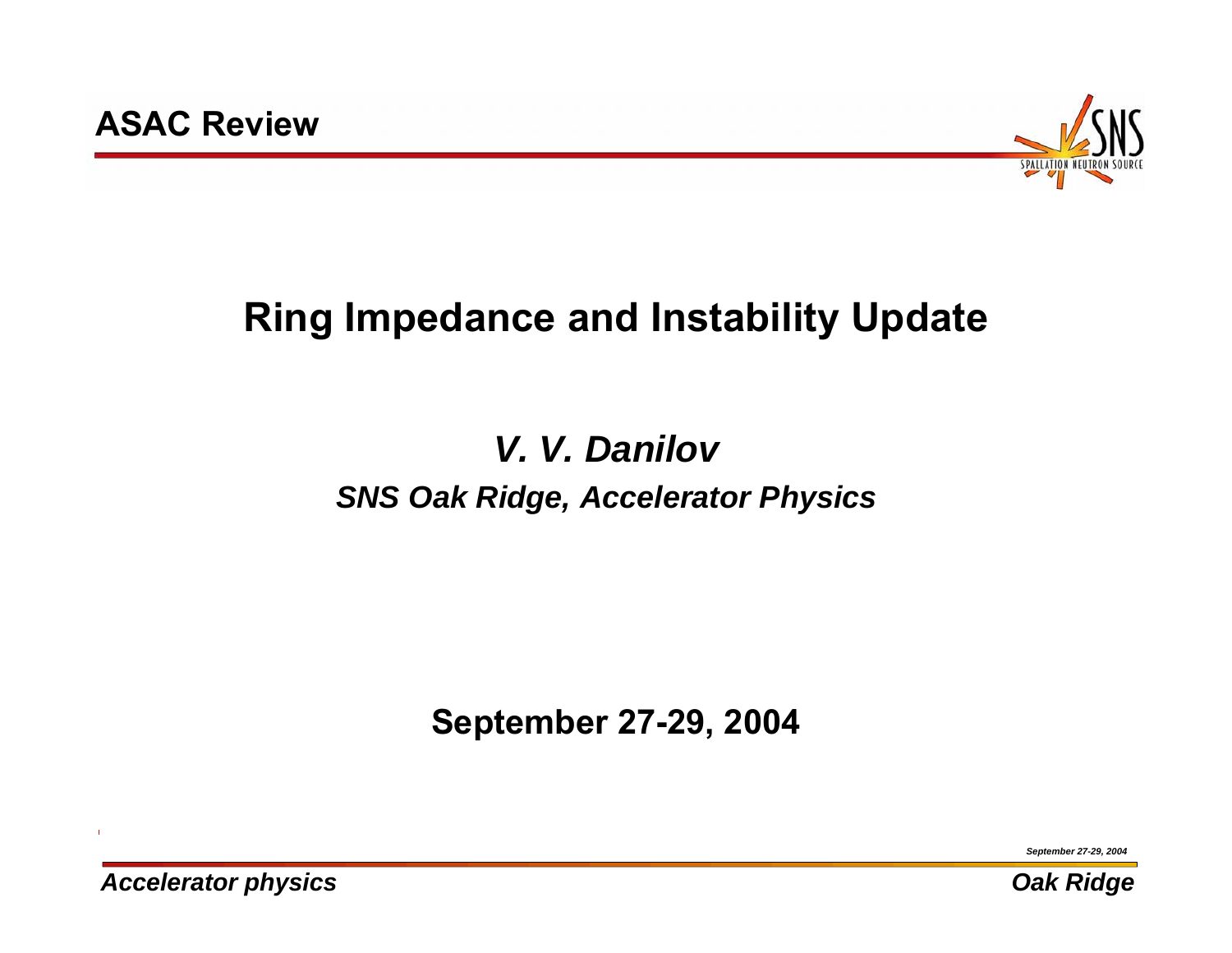

# **Ring Impedance and Instability Update**

### *V. V. DanilovSNS Oak Ridge, Accelerator Physics*

**September 27-29, 2004**

*September 27-29, 2004*

*Accelerator physics Oak Ridge*

 $\mathbf{I}$ 

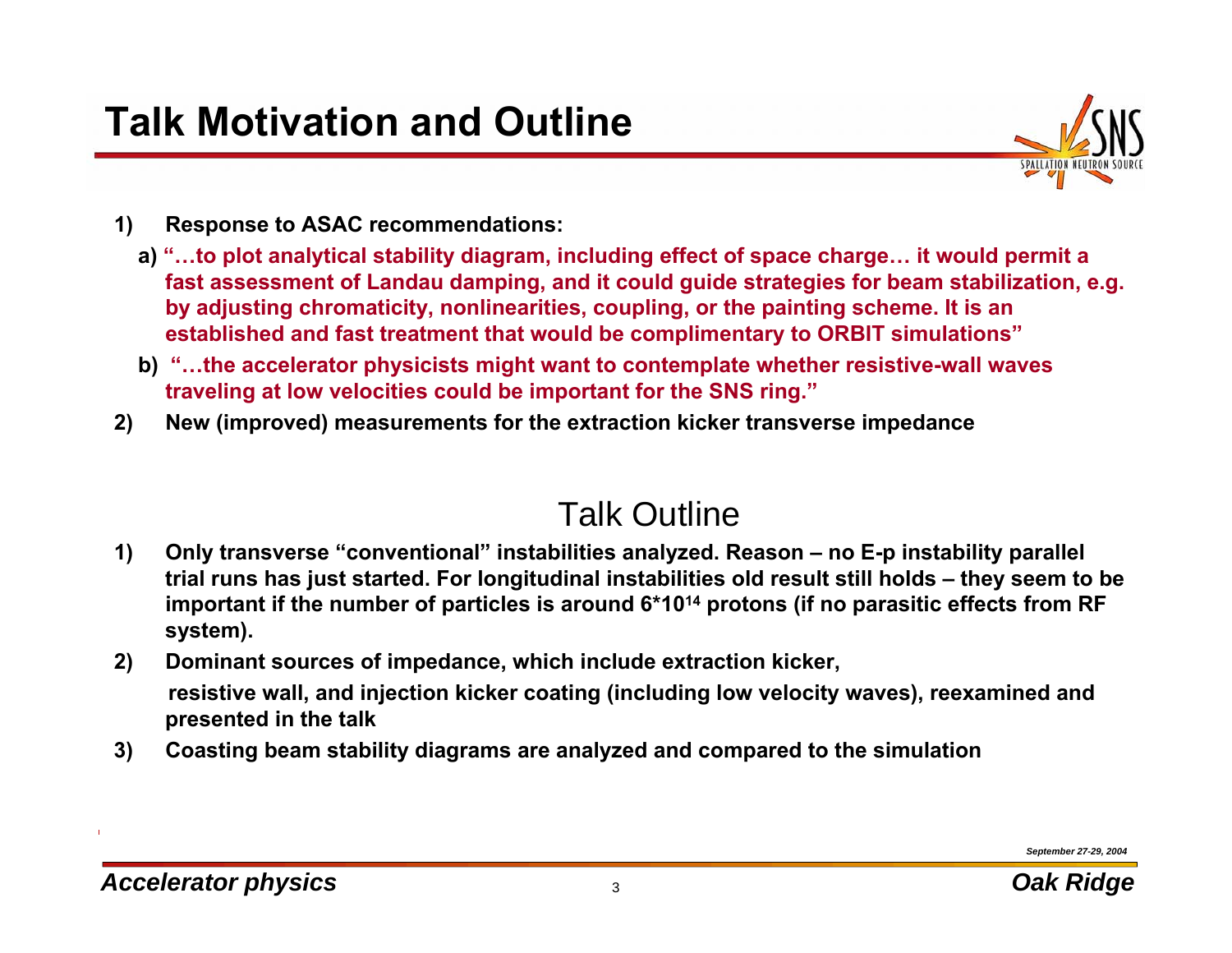

- **1) Response to ASAC recommendations:** 
	- **a) "…to plot analytical stability diagram, including effect of space charge… it would permit a fast assessment of Landau damping, and it could guide strategies for beam stabilization, e.g. by adjusting chromaticity, nonlinearities, coupling, or the painting scheme. It is an established and fast treatment that would be complimentary to ORBIT simulations"**
	- **b) "…the accelerator physicists might want to contemplate whether resistive-wall waves traveling at low velocities could be important for the SNS ring."**
- **2) New (improved) measurements for the extraction kicker transverse impedance**

#### Talk Outline

- **1) Only transverse "conventional" instabilities analyzed. Reason – no E-p instability parallel trial runs has just started. For longitudinal instabilities old result still holds – they seem to be important if the number of particles is around 6\*1014 protons (if no parasitic effects from RF system).**
- **2) Dominant sources of impedance, which include extraction kicker, resistive wall, and injection kicker coating (including low velocity waves), reexamined and presented in the talk**
- **3) Coasting beam stability diagrams are analyzed and compared to the simulation**

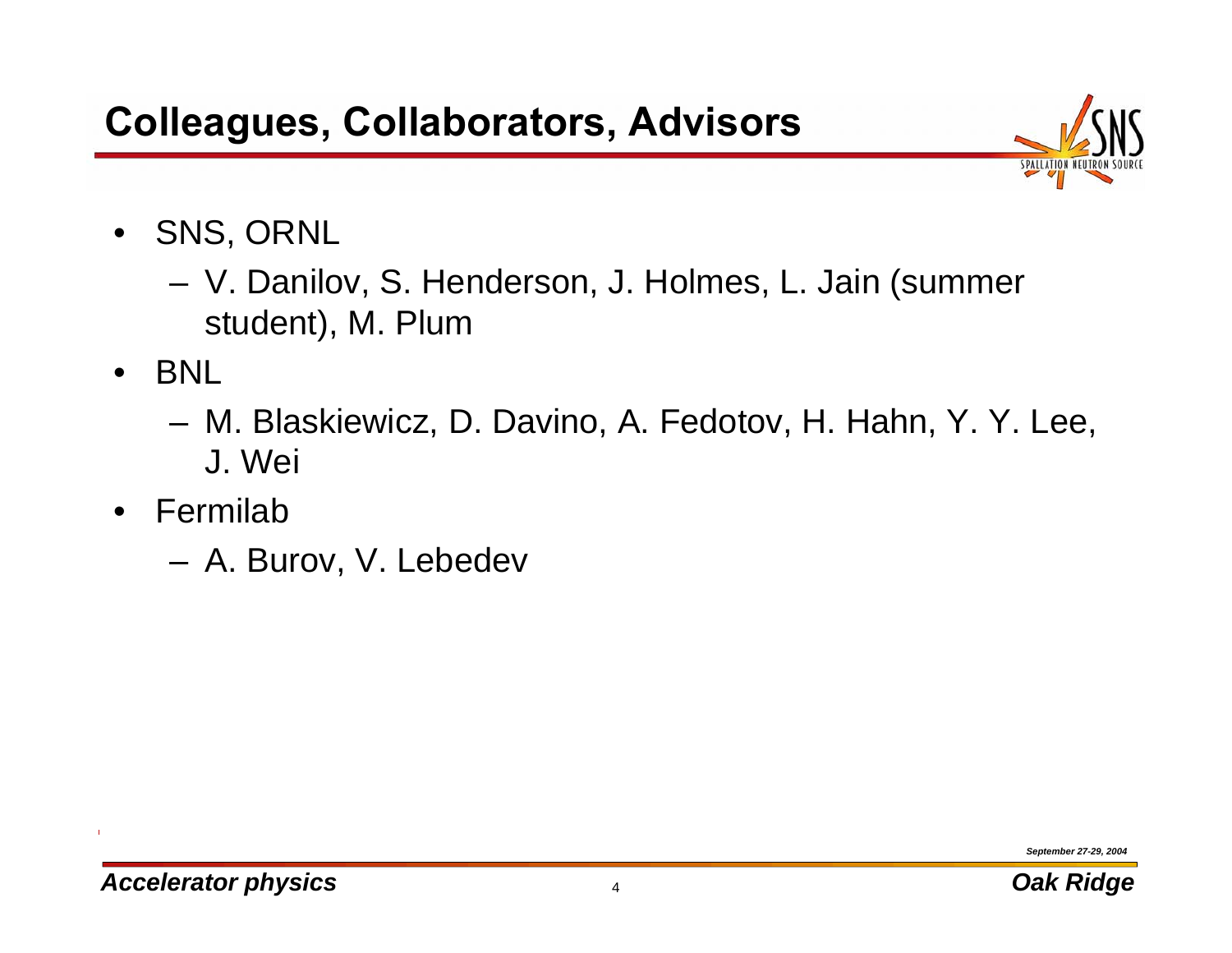

- $\bullet$  SNS, ORNL
	- **Links of the Company**  V. Danilov, S. Henderson, J. Holmes, L. Jain (summer student), M. Plum
- $\bullet$  BNL
	- **Links of the Company**  M. Blaskiewicz, D. Davino, A. Fedotov, H. Hahn, Y. Y. Lee, J. Wei
- $\bullet$  Fermilab
	- **Links of the Company** A. Burov, V. Lebedev

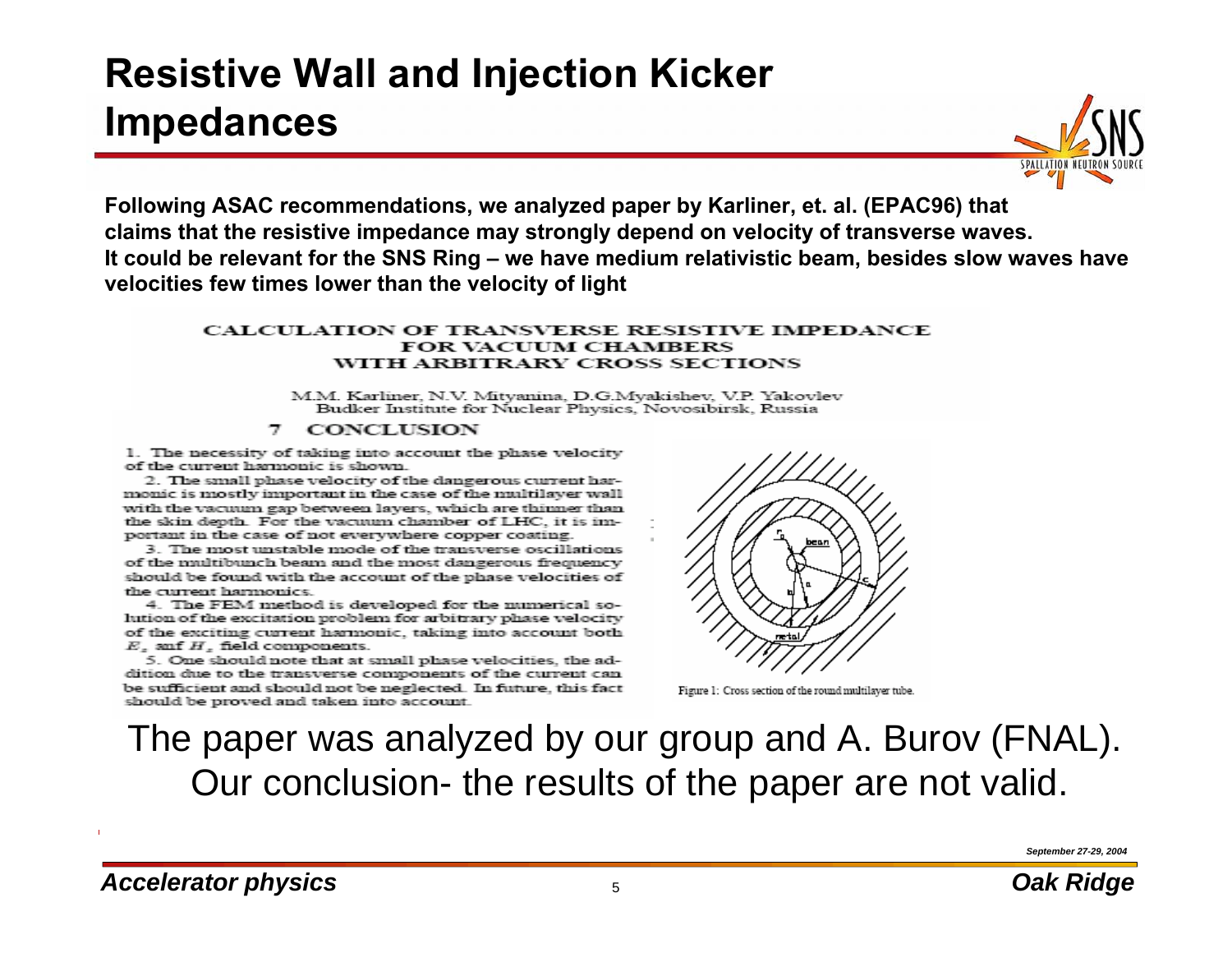#### **Resistive Wall and Injection Kicker Impedances**



**Following ASAC recommendations, we analyzed paper by Karliner, et. al. (EPAC96) that claims that the resistive impedance may strongly depend on velocity of transverse waves. It could be relevant for the SNS Ring – we have medium relativistic beam, besides slow waves have velocities few times lower than the velocity of light**

#### **CALCULATION OF TRANSVERSE RESISTIVE IMPEDANCE FOR VACUUM CHAMBERS** WITH ARBITRARY CROSS SECTIONS

M.M. Karliner, N.V. Mitvanina, D.G.Mvakishev, V.P. Yakovlev Budker Institute for Nuclear Physics, Novosibirsk, Russia

#### $\tau$ **CONCLUSION**

1. The necessity of taking into account the phase velocity of the current harmonic is shown.

2. The small phase velocity of the dangerous current harmonic is mostly important in the case of the multilayer wall with the vacuum gap between lavers, which are thinner than the skin depth. For the vacuum chamber of LHC, it is important in the case of not everywhere copper coating.

3. The most unstable mode of the transverse oscillations of the multibunch beam and the most dangerous frequency should be found with the account of the phase velocities of the current harmonics.

4. The FEM method is developed for the numerical solution of the excitation problem for arbitrary phase velocity of the exciting current harmonic, taking into account both.  $E_z$  anf  $H_z$  field components.

5. One should note that at small phase velocities, the addition due to the transverse components of the current can be sufficient and should not be neglected. In future, this fact should be proved and taken into account.



Figure 1: Cross section of the round multilayer tube.

The paper was analyzed by our group and A. Burov (FNAL). Our conclusion- the results of the paper are not valid.

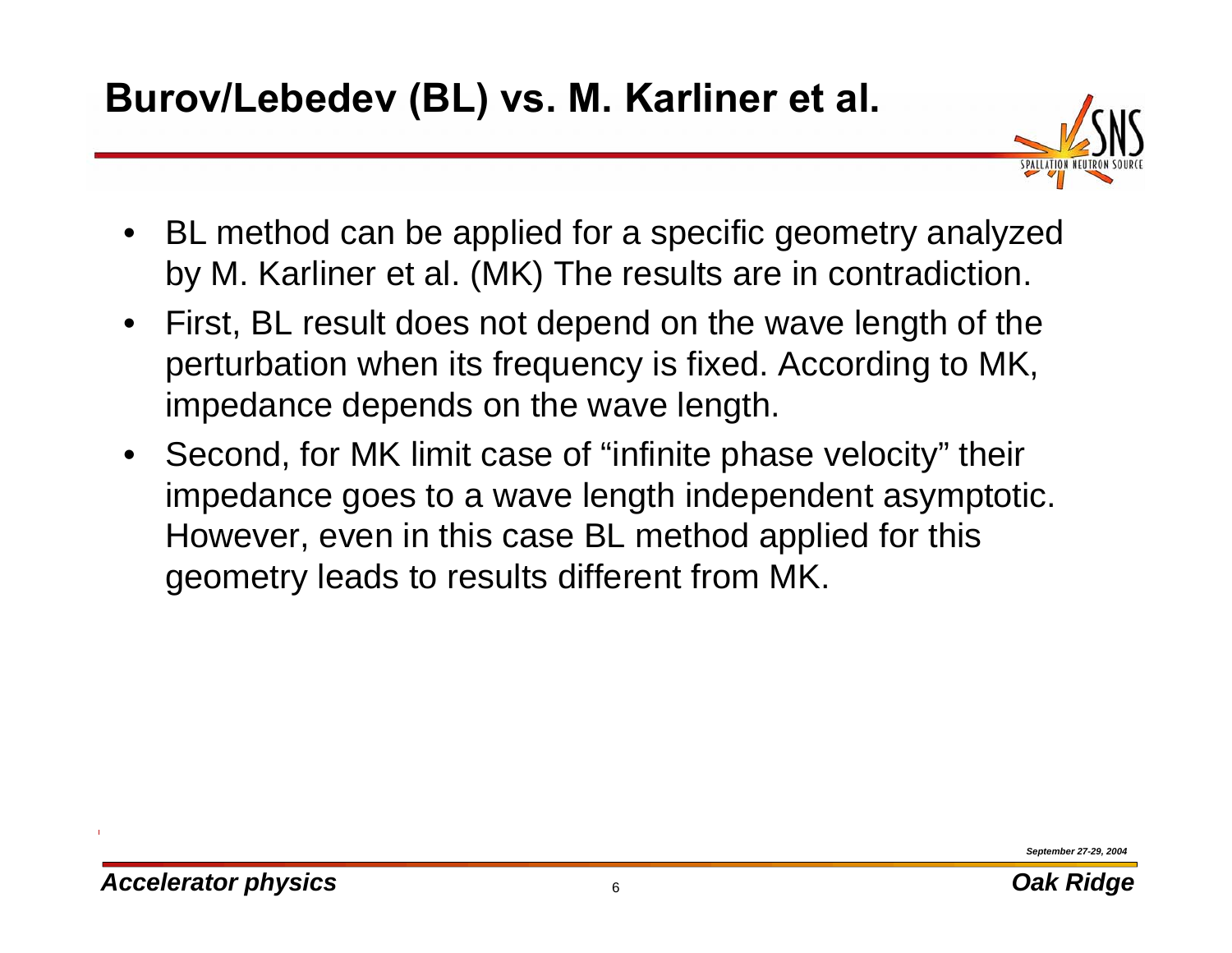

- BL method can be applied for a specific geometry analyzed by M. Karliner et al. (MK) The results are in contradiction.
- First, BL result does not depend on the wave length of the perturbation when its frequency is fixed. According to MK, impedance depends on the wave length.
- Second, for MK limit case of "infinite phase velocity" their impedance goes to a wave length independent asymptotic. However, even in this case BL method applied for this geometry leads to results different from MK.

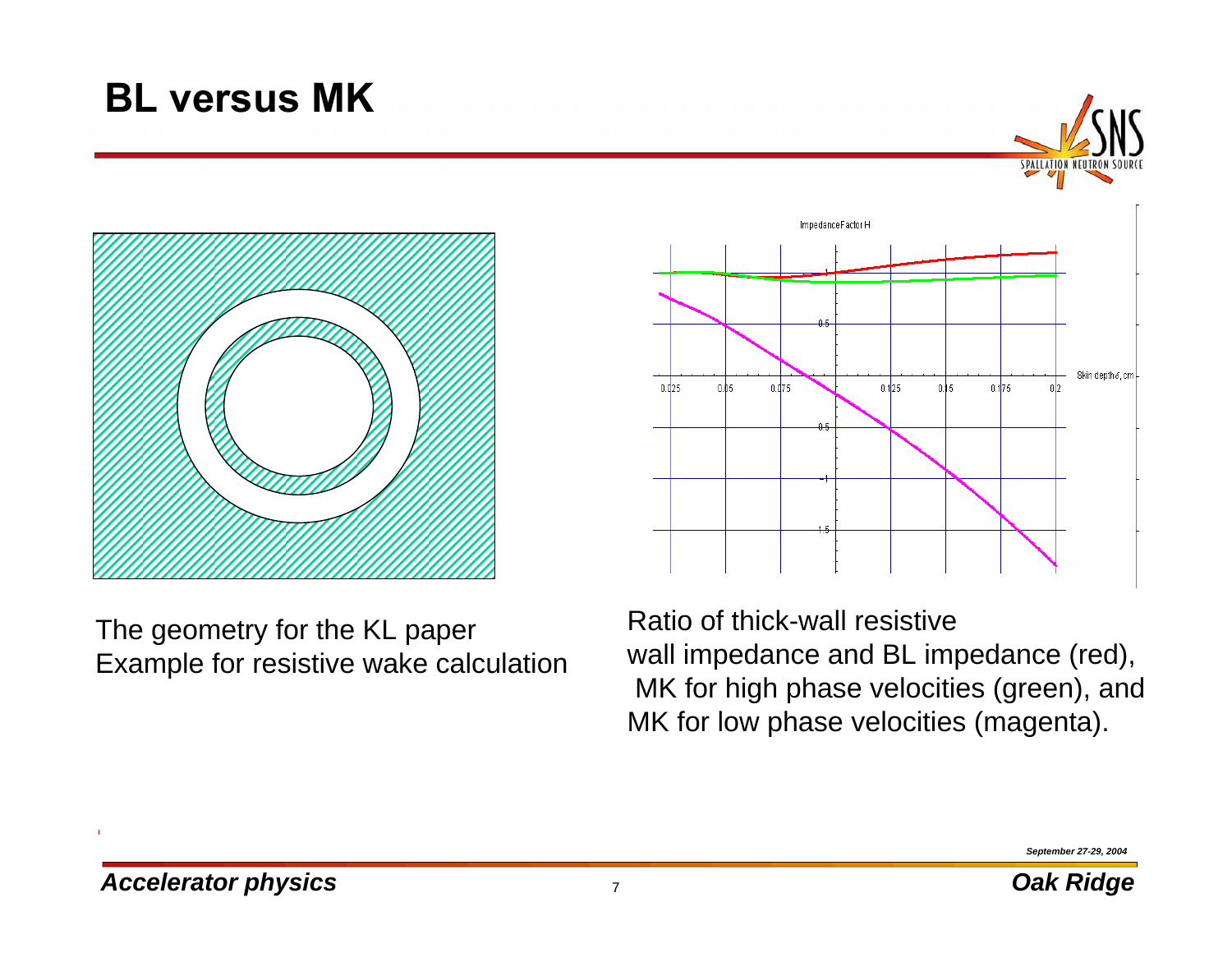#### **BL versus MK**





The geometry for the KL paper Example for resistive wake calculation



Ratio of thick-wall resistive wall impedance and BL impedance (red), MK for high phase velocities (green), and MK for low phase velocities (magenta).

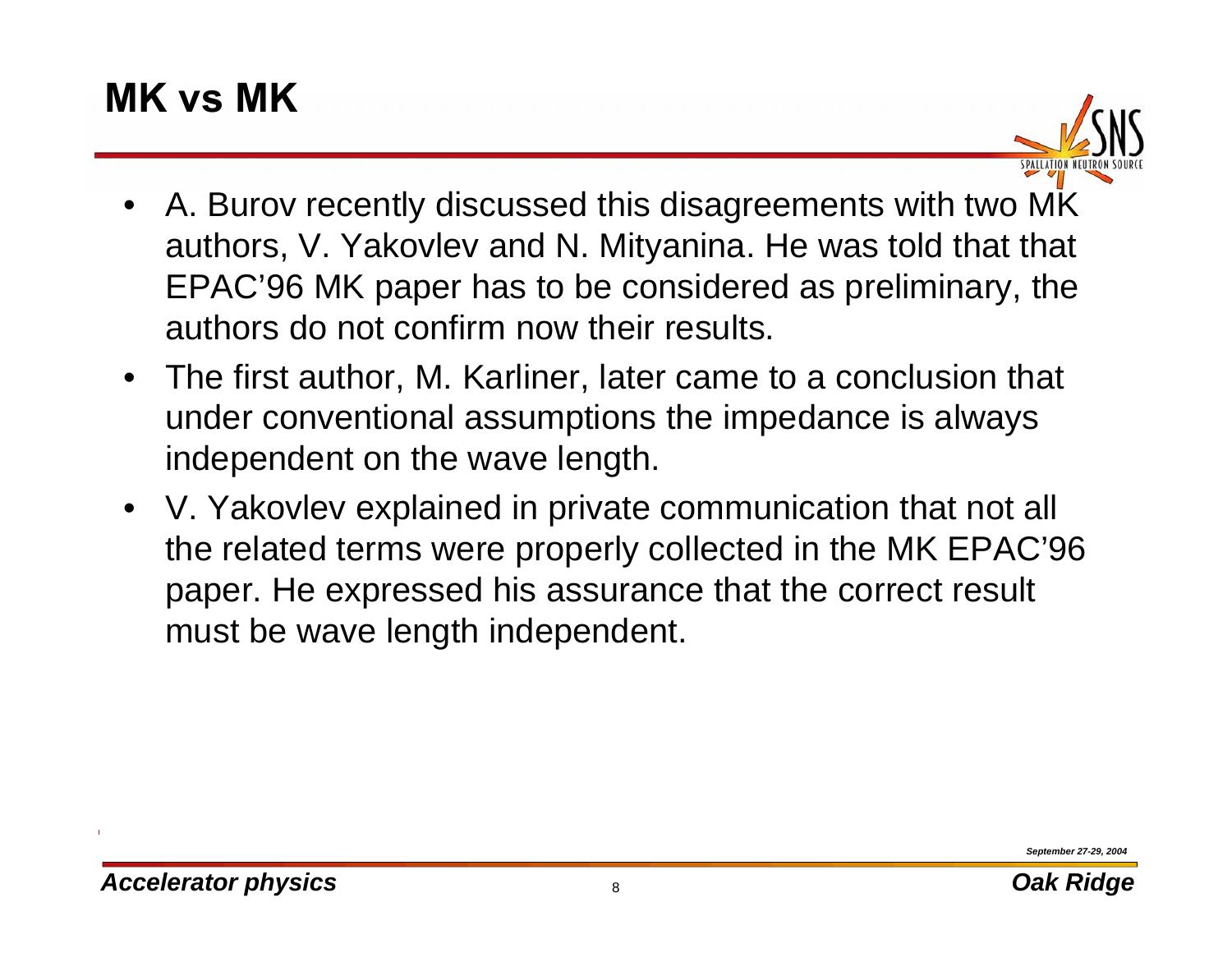# **MK vs MK**

- A. Burov recently discussed this disagreements with two MK authors, V. Yakovlev and N. Mityanina. He was told that that EPAC'96 MK paper has to be considered as preliminary, the authors do not confirm now their results.
- The first author, M. Karliner, later came to a conclusion that under conventional assumptions the impedance is always independent on the wave length.
- V. Yakovlev explained in private communication that not all the related terms were properly collected in the MK EPAC'96 paper. He expressed his assurance that the correct result must be wave length independent.

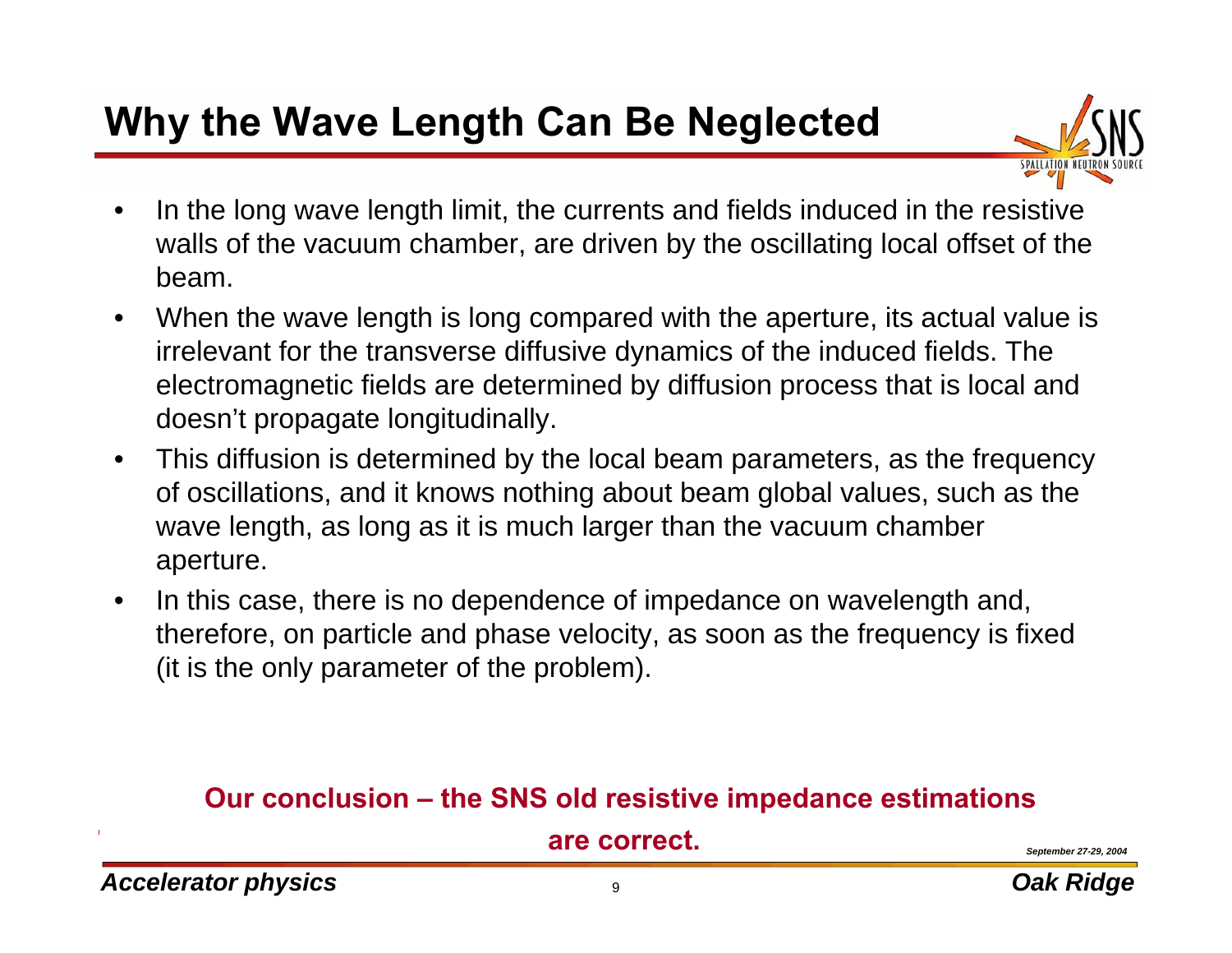# **Why the Wave Length Can Be Neglected**

- 
- • In the long wave length limit, the currents and fields induced in the resistive walls of the vacuum chamber, are driven by the oscillating local offset of the beam.
- $\bullet$  When the wave length is long compared with the aperture, its actual value is irrelevant for the transverse diffusive dynamics of the induced fields. The electromagnetic fields are determined by diffusion process that is local and doesn't propagate longitudinally.
- $\bullet$  This diffusion is determined by the local beam parameters, as the frequency of oscillations, and it knows nothing about beam global values, such as the wave length, as long as it is much larger than the vacuum chamber aperture.
- $\bullet$  In this case, there is no dependence of impedance on wavelength and, therefore, on particle and phase velocity, as soon as the frequency is fixed (it is the only parameter of the problem).

#### **Our conclusion – the SNS old resistive impedance estimations**

**are correct.**

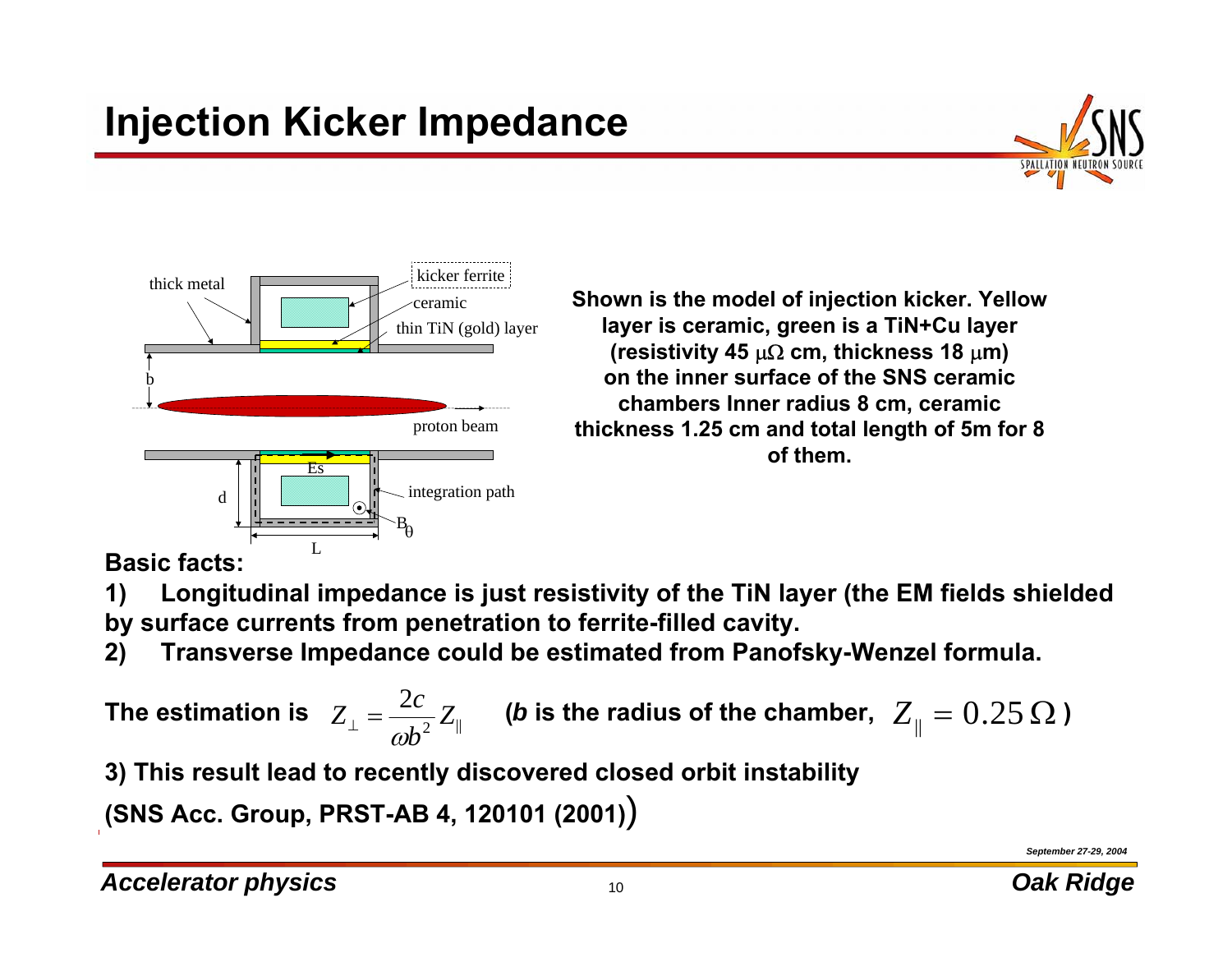# **Injection Kicker Impedance**





**Shown is the model of injection kicker. Yellow layer is ceramic, green is a TiN+Cu layer (resistivity 45** µΩ **cm, thickness 18** µ**m) on the inner surface of the SNS ceramic chambers Inner radius 8 cm, ceramic thickness 1.25 cm and total length of 5m for 8 of them.** 

**Basic facts:**

**1) Longitudinal impedance is just resistivity of the TiN layer (the EM fields shielded by surface currents from penetration to ferrite-filled cavity.**

**2) Transverse Impedance could be estimated from Panofsky-Wenzel formula.** 

 $2$   $||$ 2 $\frac{1}{\omega b^2}Z$  $Z_{\perp} = \frac{2c}{\omega b}$ The estimation is  $|Z_{\perp}\! =\! \frac{2C}{\omega b^2}Z_{\parallel}$  (*b* is the radius of the chamber,  $|Z_{\parallel}\! =\! 0.25\,\Omega$  )

**3) This result lead to recently discovered closed orbit instability** 

**(SNS Acc. Group, PRST-AB 4, 120101 (2001)**)

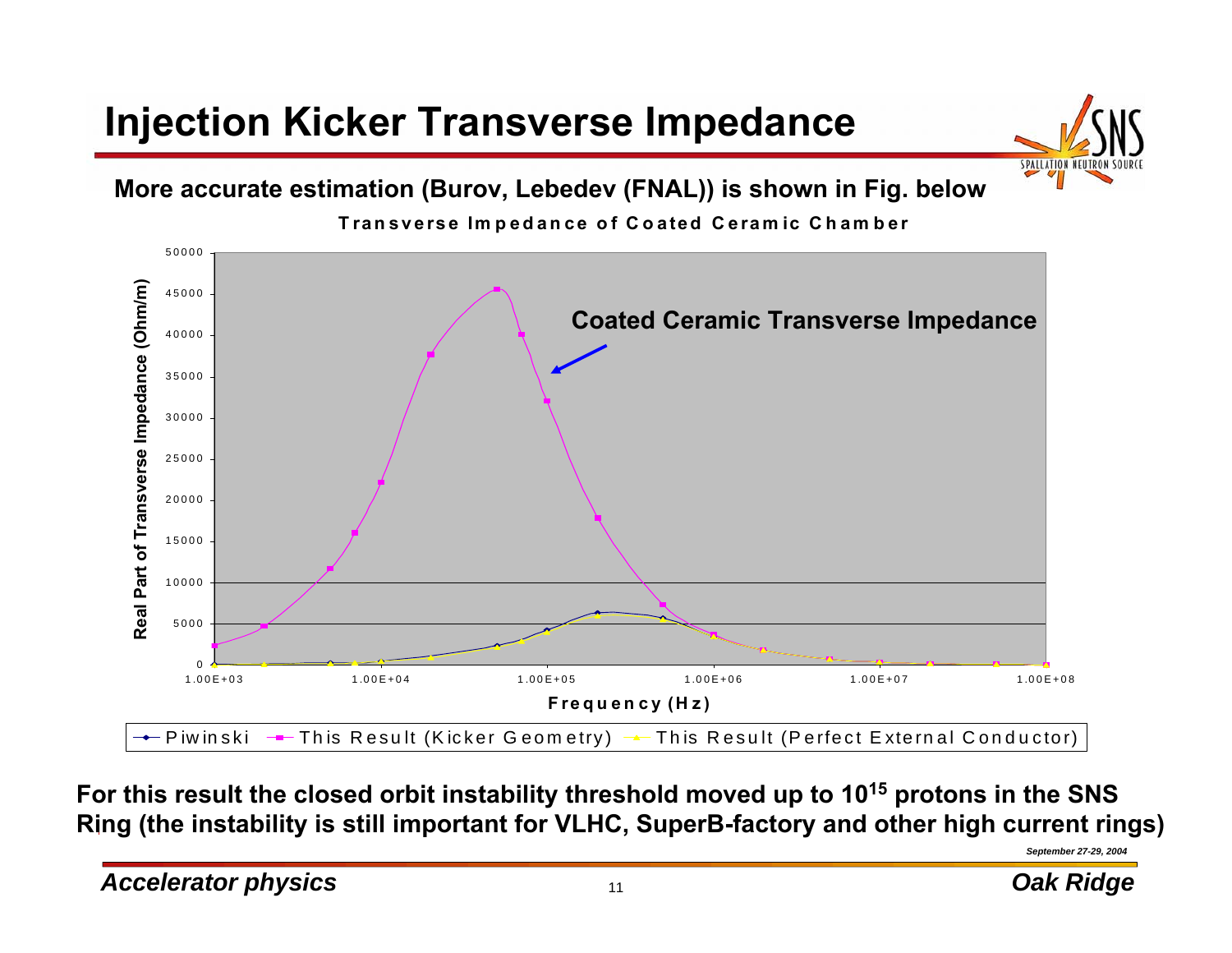# **Injection Kicker Transverse Impedance**



**More accurate estimation (Burov, Lebedev (FNAL)) is shown in Fig. below**



**For this result the closed orbit instability threshold moved up to 1015 protons in the SNS Ring (the instability is still important for VLHC, SuperB-factory and other high current rings)**

*September 27-29, 2004*

*Accelerator physics but a contract to the set of the contract of the contract of the contract of the contract of the contract of the contract of the contract of the contract of the contract of the contract of the con*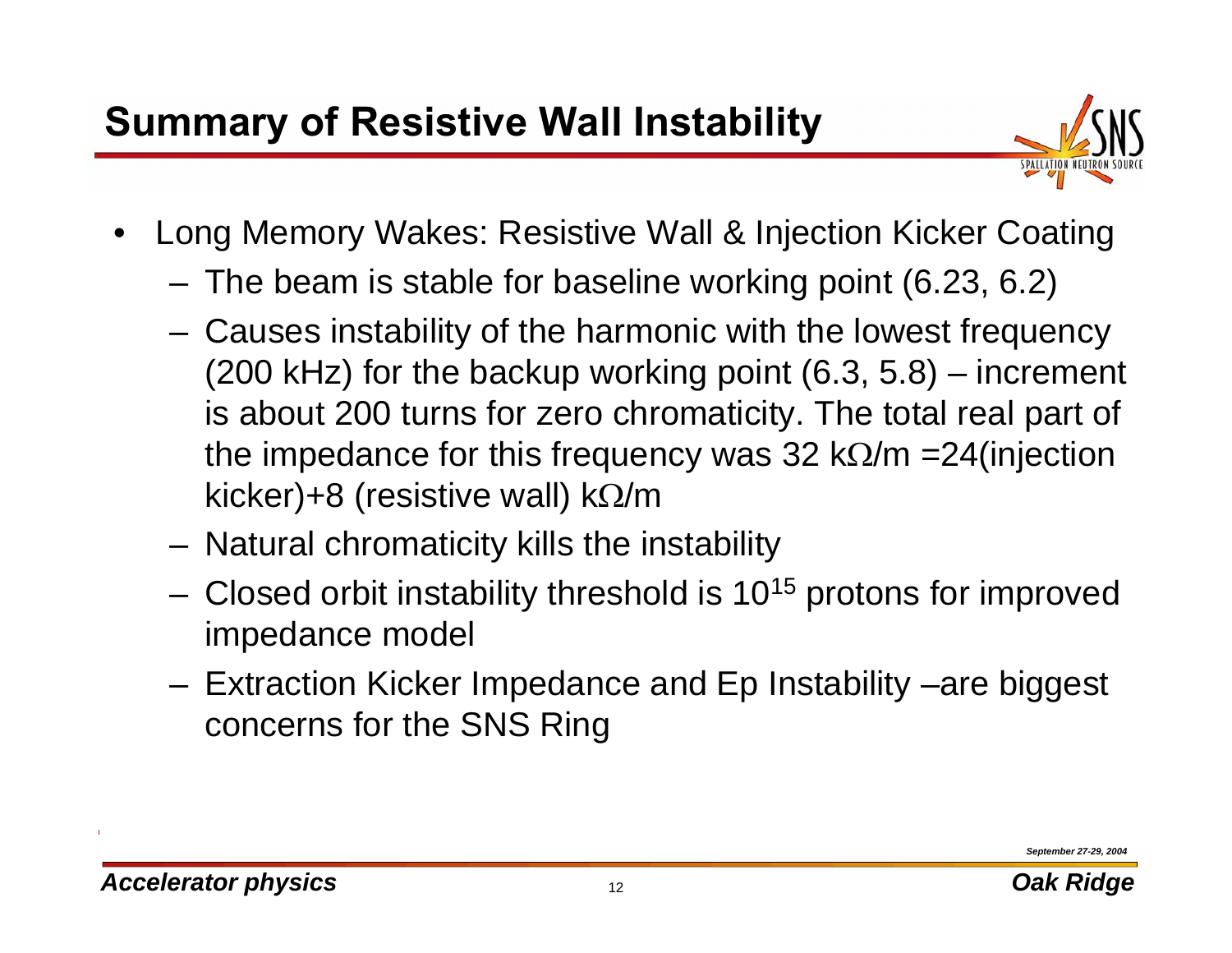# **Summary of Resistive Wall Instability**



- $\bullet$  Long Memory Wakes: Resistive Wall & Injection Kicker Coating
	- **Links of the Company** The beam is stable for baseline working point (6.23, 6.2)
	- **Links of the Company**  Causes instability of the harmonic with the lowest frequency (200 kHz) for the backup working point (6.3, 5.8) – increment is about 200 turns for zero chromaticity. The total real part of the impedance for this frequency was 32 k $\Omega/m = 24$ (injection kicker)+8 (resistive wall) k $\Omega/m$
	- **Links of the Company** Natural chromaticity kills the instability
	- **Links of the Company**  $-$  Closed orbit instability threshold is 10<sup>15</sup> protons for improved impedance model
	- **Links of the Company**  Extraction Kicker Impedance and Ep Instability –are biggest concerns for the SNS Ring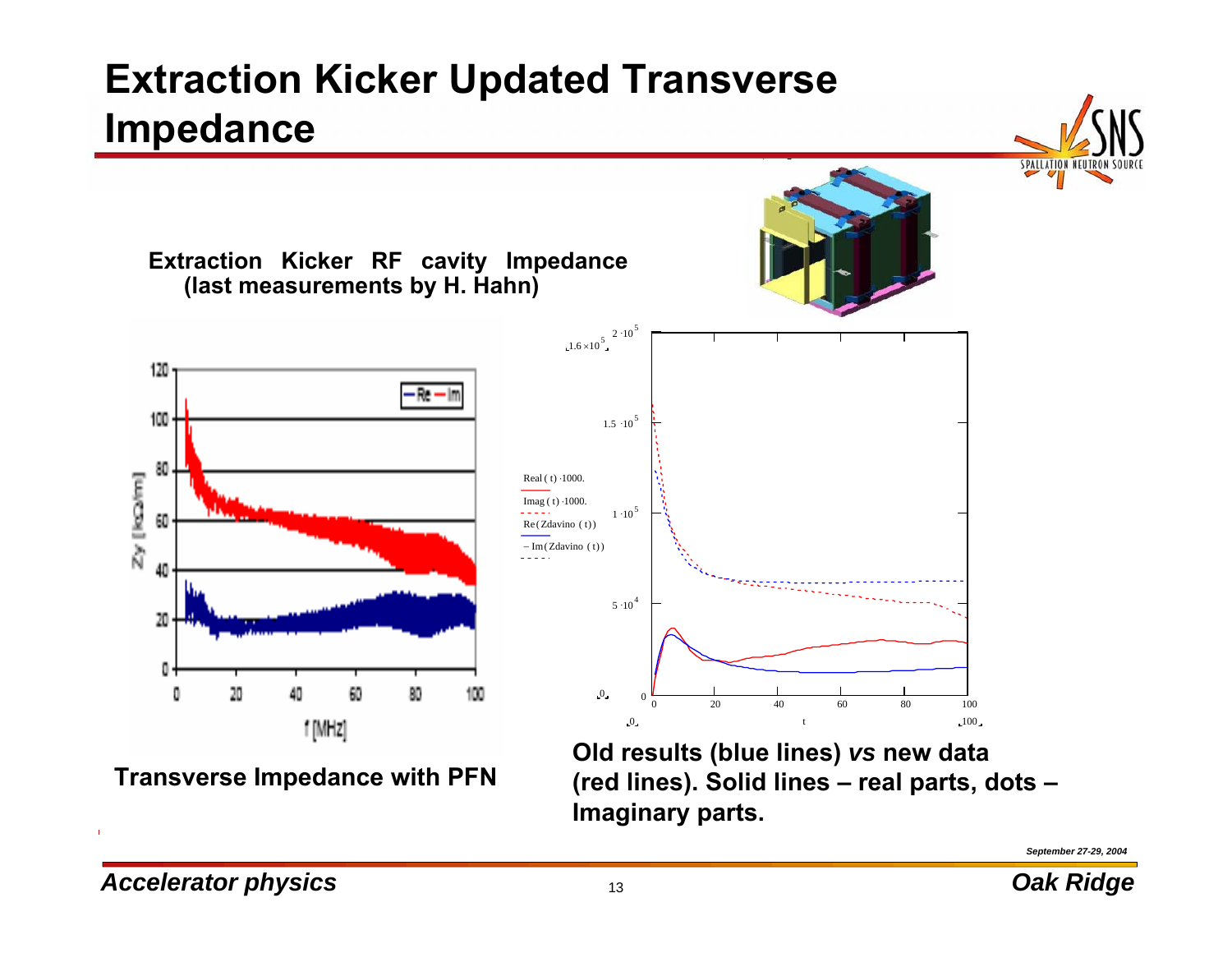# **Extraction Kicker Updated Transverse Impedance**



**Imaginary parts.**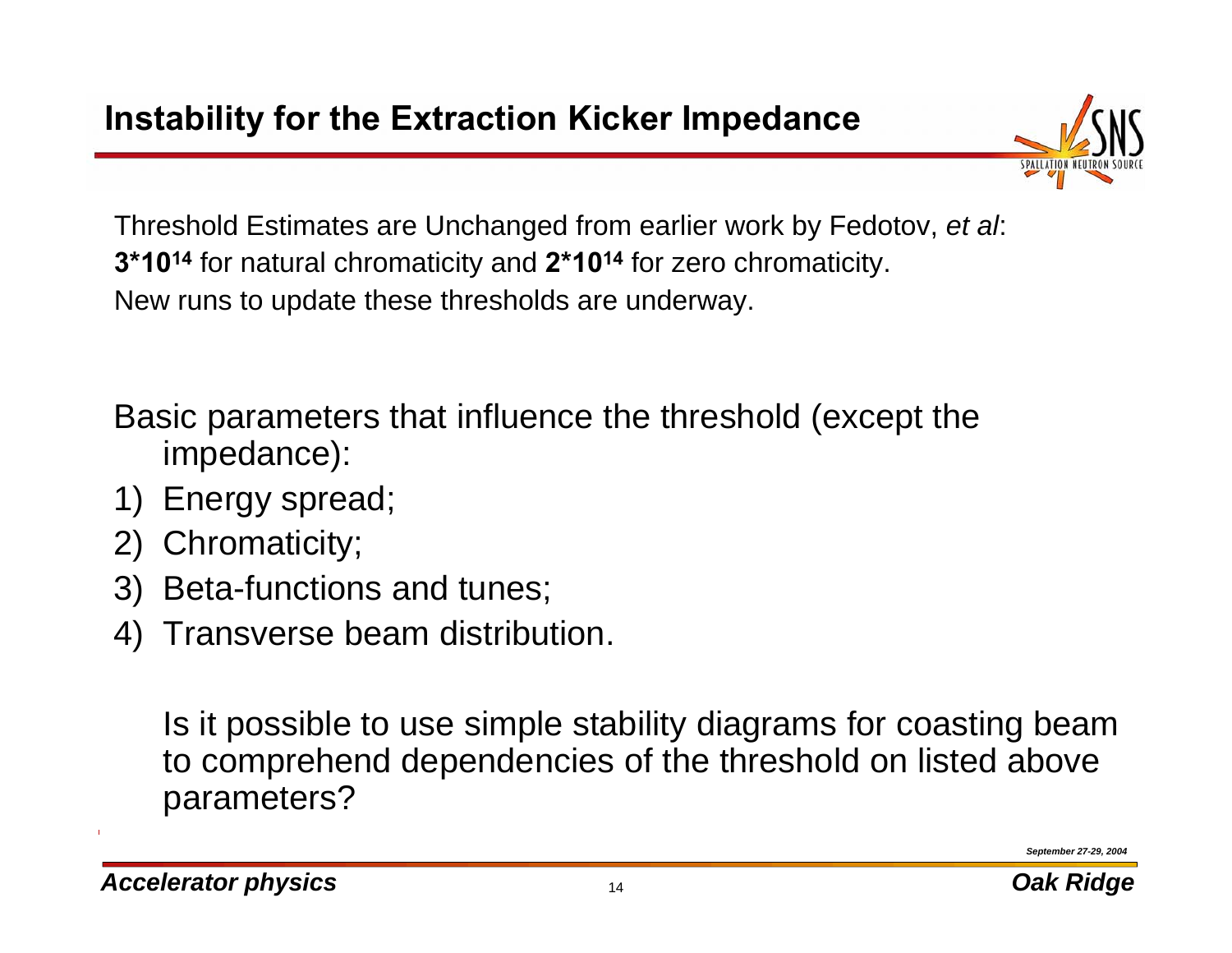

Threshold Estimates are Unchanged from earlier work by Fedotov, *et al*: **3\*1014** for natural chromaticity and **2\*1014** for zero chromaticity. New runs to update these thresholds are underway.

Basic parameters that influence the threshold (except the impedance):

- 1) Energy spread;
- 2) Chromaticity;
- 3) Beta-functions and tunes;
- 4) Transverse beam distribution.

Is it possible to use simple stability diagrams for coasting beam to comprehend dependencies of the threshold on listed above parameters?

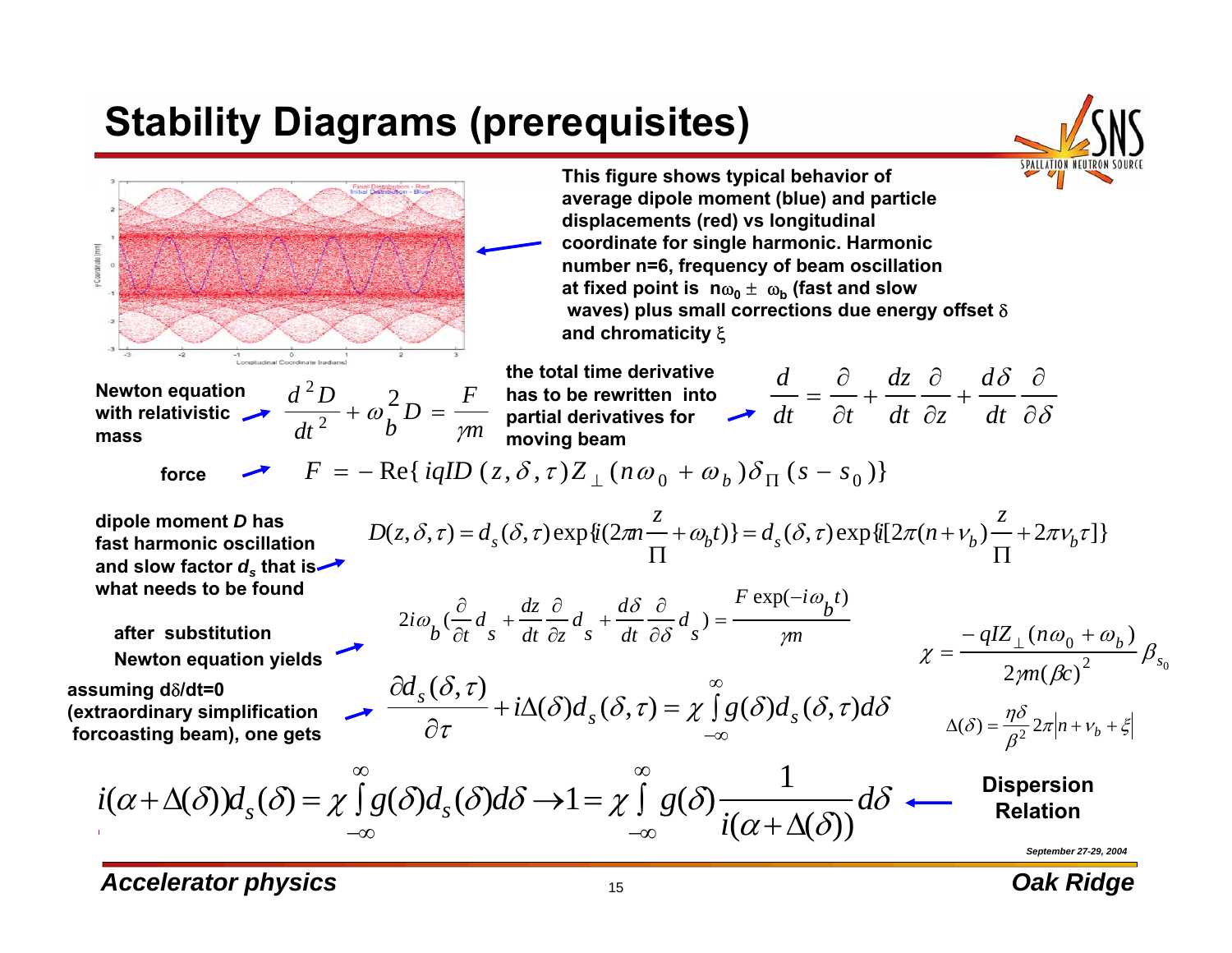# **Stability Diagrams (prerequisites)**





*Accelerator physics biggerator physics Cak Ridge Biggerator <b><i>Dak Ridge Dak Ridge*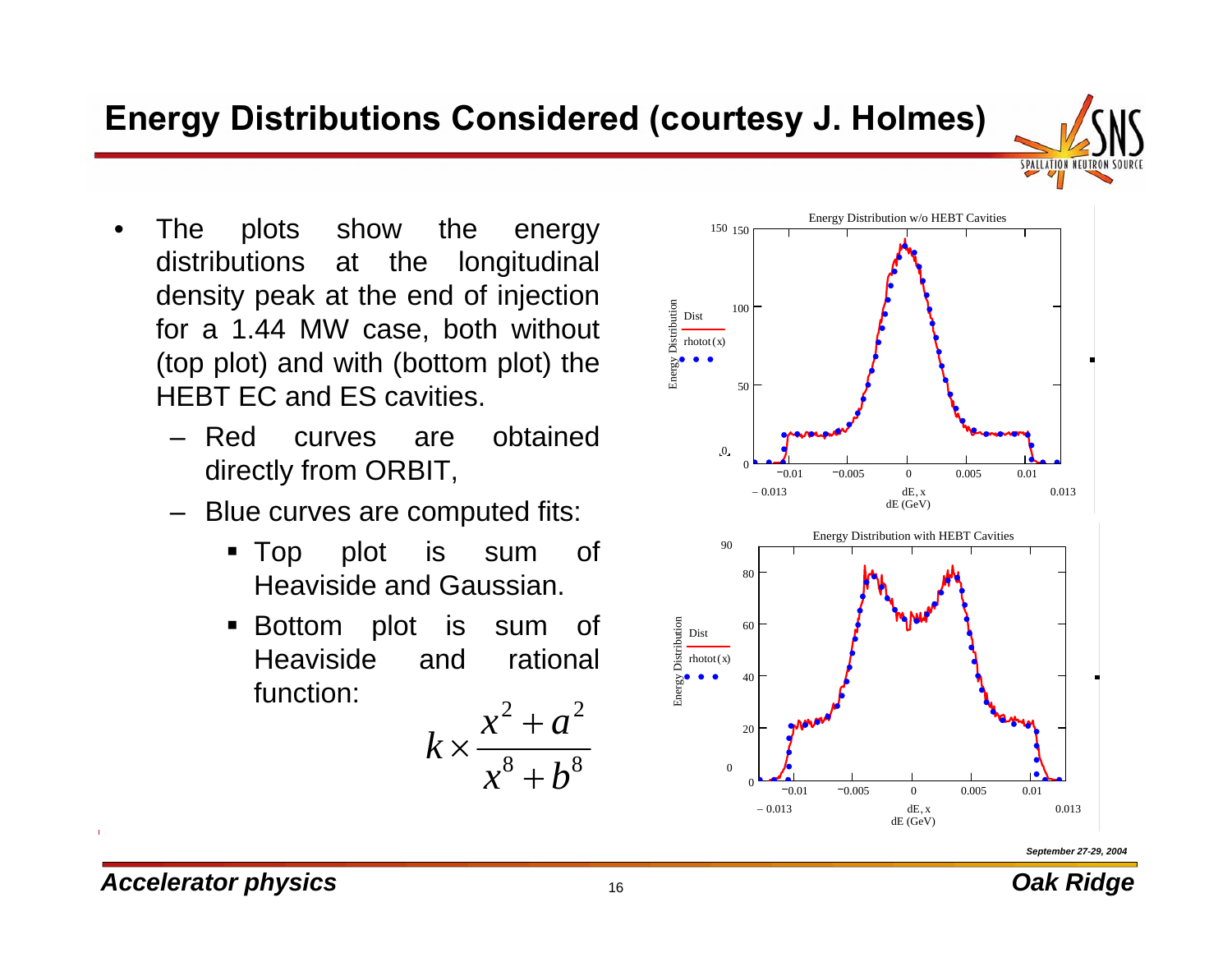#### **Energy Distributions Considered (courtesy J. Holmes)**

- • The plots show the energy distributions at the longitudinal density peak at the end of injection for a 1.44 MW case, both without (top plot) and with (bottom plot) the HEBT EC and ES cavities.
	- Red curves are obtained directly from ORBIT,
	- – Blue curves are computed fits:
		- Top plot is sum of Heaviside and Gaussian.
		- Bottom plot is sum of Heaviside and rational function:

$$
k \times \frac{x^2 + a^2}{x^8 + b^8}
$$





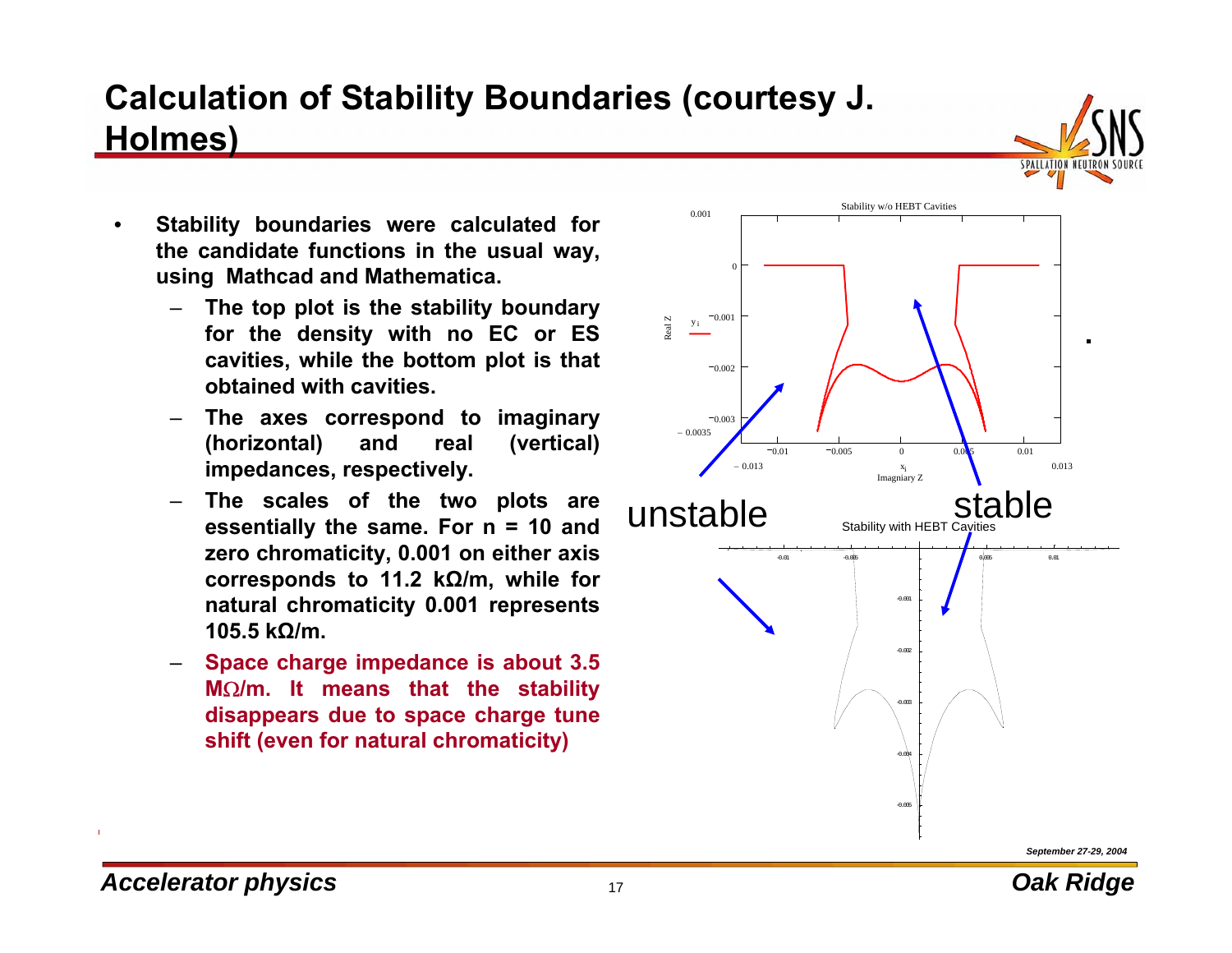#### *Accelerator physics but the contract of the contract of the contract of the contract of the contract of the contract of the contract of the contract of the contract of the contract of the contract of the contract of*

#### **Calculation of Stability Boundaries (courtesy J. Holmes)**

- • **Stability boundaries were calculated for the candidate functions in the usual way, using Mathcad and Mathematica.**
	- – **The top plot is the stability boundary for the density with no EC or ES cavities, while the bottom plot is that obtained with cavities.**
	- – **The axes correspond to imaginary (horizontal) and real (vertical) impedances, respectively.**
	- – **The scales of the two plots are essentially the same. For n = 10 and zero chromaticity, 0.001 on either axis corresponds to 11.2 kΩ/m, while for natural chromaticity 0.001 represents 105.5 kΩ/m.**
	- – **Space charge impedance is about 3.5 M**Ω**/m. It means that the stability disappears due to space charge tune shift (even for natural chromaticity)**



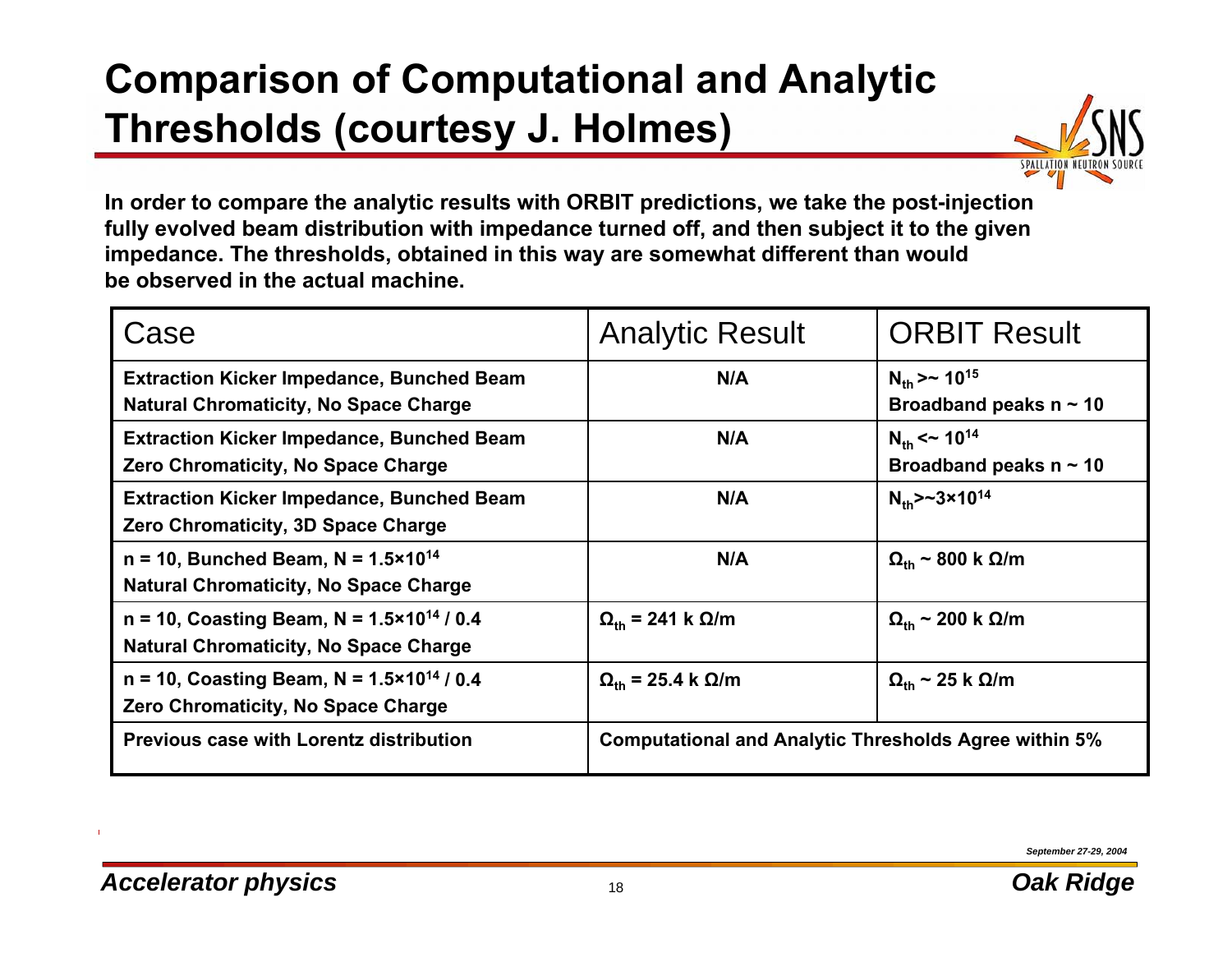# **Comparison of Computational and Analytic Thresholds (courtesy J. Holmes)**



**In order to compare the analytic results with ORBIT predictions, we take the post-injection fully evolved beam distribution with impedance turned off, and then subject it to the given impedance. The thresholds, obtained in this way are somewhat different than would be observed in the actual machine.**

| Case                                                                                                     | <b>Analytic Result</b>                                       | <b>ORBIT Result</b>                                                 |
|----------------------------------------------------------------------------------------------------------|--------------------------------------------------------------|---------------------------------------------------------------------|
| <b>Extraction Kicker Impedance, Bunched Beam</b><br><b>Natural Chromaticity, No Space Charge</b>         | N/A                                                          | $N_{\rm th}$ > ~ 10 <sup>15</sup><br>Broadband peaks $n \sim 10$    |
| <b>Extraction Kicker Impedance, Bunched Beam</b><br>Zero Chromaticity, No Space Charge                   | N/A                                                          | $N_{\text{th}}$ < ~ 10 <sup>14</sup><br>Broadband peaks $n \sim 10$ |
| <b>Extraction Kicker Impedance, Bunched Beam</b><br>Zero Chromaticity, 3D Space Charge                   | N/A                                                          | $N_{\text{th}} > -3 \times 10^{14}$                                 |
| $n = 10$ , Bunched Beam, N = 1.5×10 <sup>14</sup><br><b>Natural Chromaticity, No Space Charge</b>        | N/A                                                          | $\Omega_{\rm th}$ ~ 800 k $\Omega/m$                                |
| $n = 10$ , Coasting Beam, N = 1.5×10 <sup>14</sup> / 0.4<br><b>Natural Chromaticity, No Space Charge</b> | $\Omega_{\rm th}$ = 241 k $\Omega/m$                         | $\Omega_{\rm th}$ ~ 200 k $\Omega/m$                                |
| $n = 10$ , Coasting Beam, N = 1.5×10 <sup>14</sup> / 0.4<br>Zero Chromaticity, No Space Charge           | $\Omega_{\rm th}$ = 25.4 k $\Omega/m$                        | $\Omega_{\rm th}$ ~ 25 k $\Omega/m$                                 |
| Previous case with Lorentz distribution                                                                  | <b>Computational and Analytic Thresholds Agree within 5%</b> |                                                                     |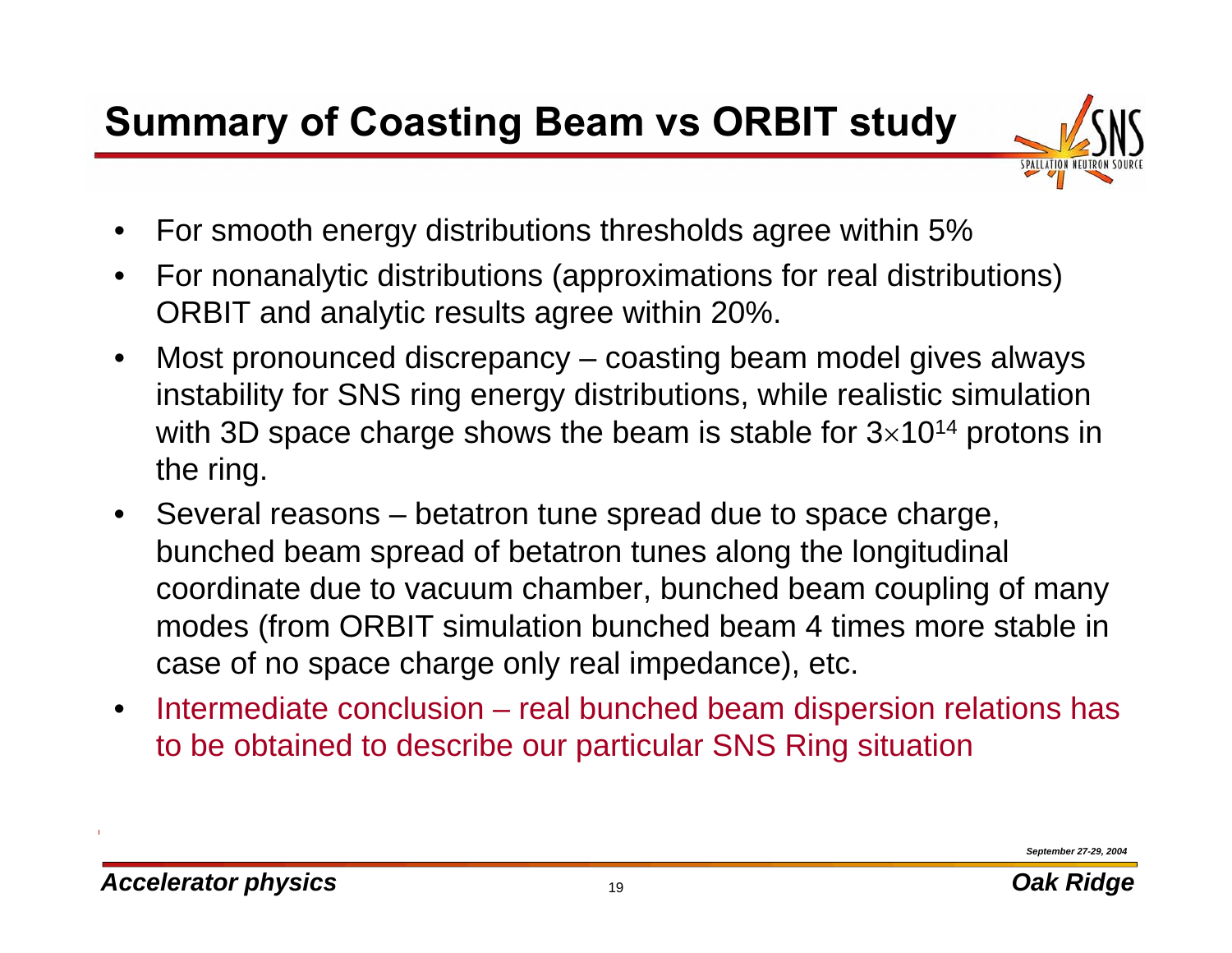# **Summary of Coasting Beam vs ORBIT study**



- •For smooth energy distributions thresholds agree within 5%
- $\bullet$  For nonanalytic distributions (approximations for real distributions) ORBIT and analytic results agree within 20%.
- $\bullet$  Most pronounced discrepancy – coasting beam model gives always instability for SNS ring energy distributions, while realistic simulation with 3D space charge shows the beam is stable for  $3\times10^{14}$  protons in the ring.
- $\bullet$ • Several reasons – betatron tune spread due to space charge, bunched beam spread of betatron tunes along the longitudinal coordinate due to vacuum chamber, bunched beam coupling of many modes (from ORBIT simulation bunched beam 4 times more stable in case of no space charge only real impedance), etc.
- $\bullet$ • Intermediate conclusion – real bunched beam dispersion relations has to be obtained to describe our particular SNS Ring situation

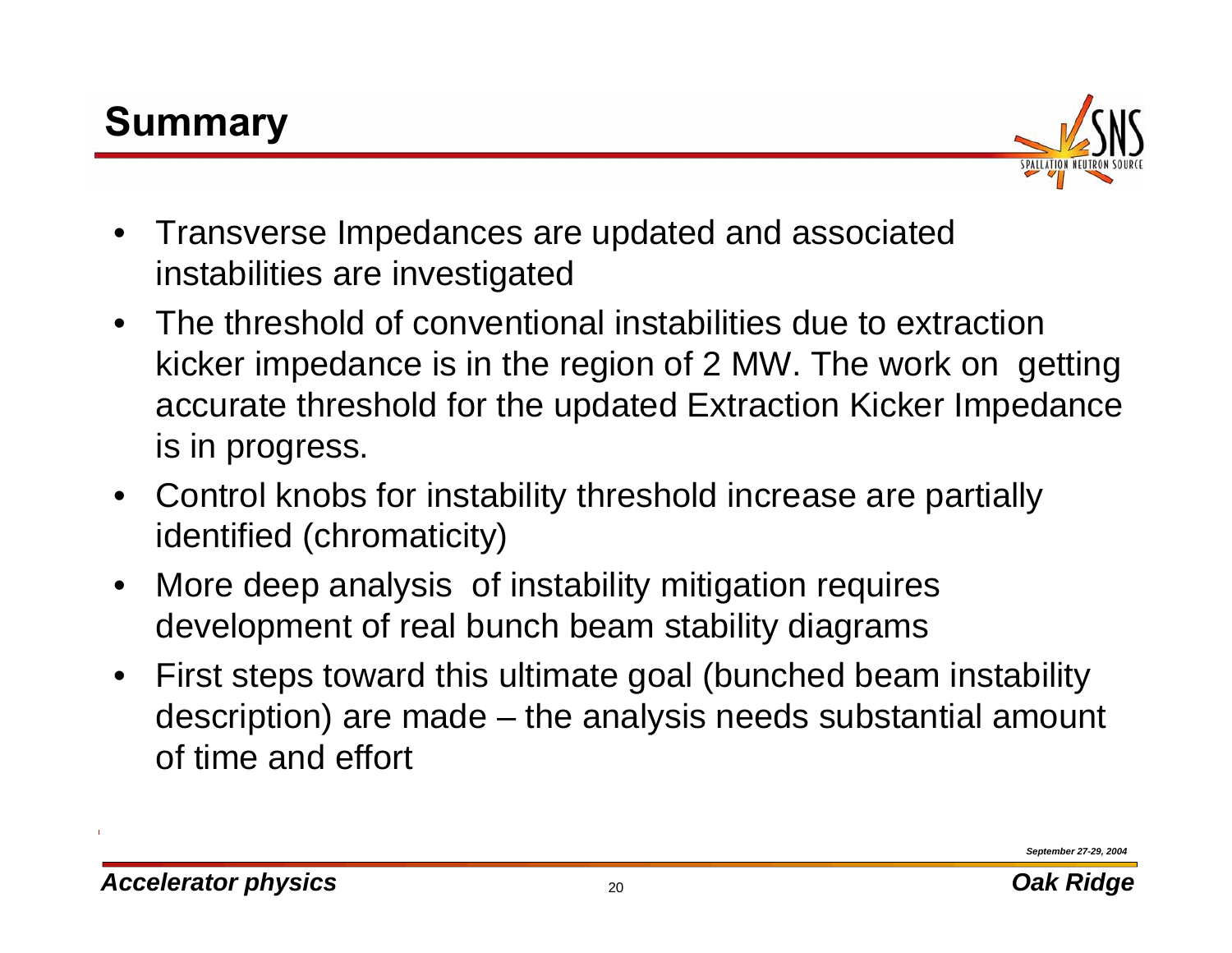# **Summary**



- $\bullet$  Transverse Impedances are updated and associated instabilities are investigated
- $\bullet$  The threshold of conventional instabilities due to extraction kicker impedance is in the region of 2 MW. The work on getting accurate threshold for the updated Extraction Kicker Impedance is in progress.
- $\bullet$  Control knobs for instability threshold increase are partially identified (chromaticity)
- $\bullet$  More deep analysis of instability mitigation requires development of real bunch beam stability diagrams
- $\bullet$  First steps toward this ultimate goal (bunched beam instability description) are made – the analysis needs substantial amount of time and effort

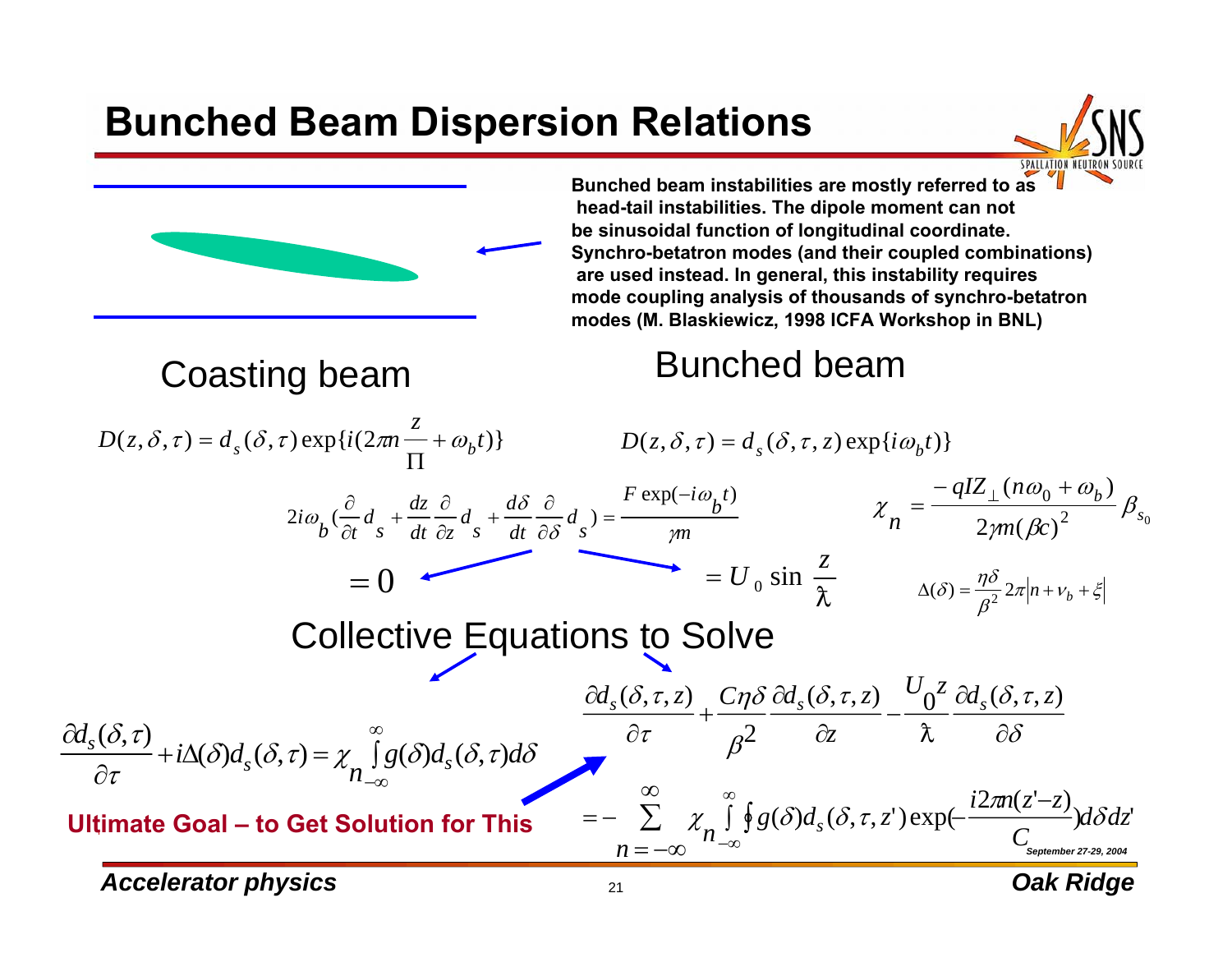### **Bunched Beam Dispersion Relations**



#### **Bunched beam instabilities are mostly referred to as head-tail instabilities. The dipole moment can not be sinusoidal function of longitudinal coordinate. Synchro-betatron modes (and their coupled combinations) are used instead. In general, this instability requires mode coupling analysis of thousands of synchro-betatron modes (M. Blaskiewicz, 1998 ICFA Workshop in BNL)**

# Coasting beam Bunched beam

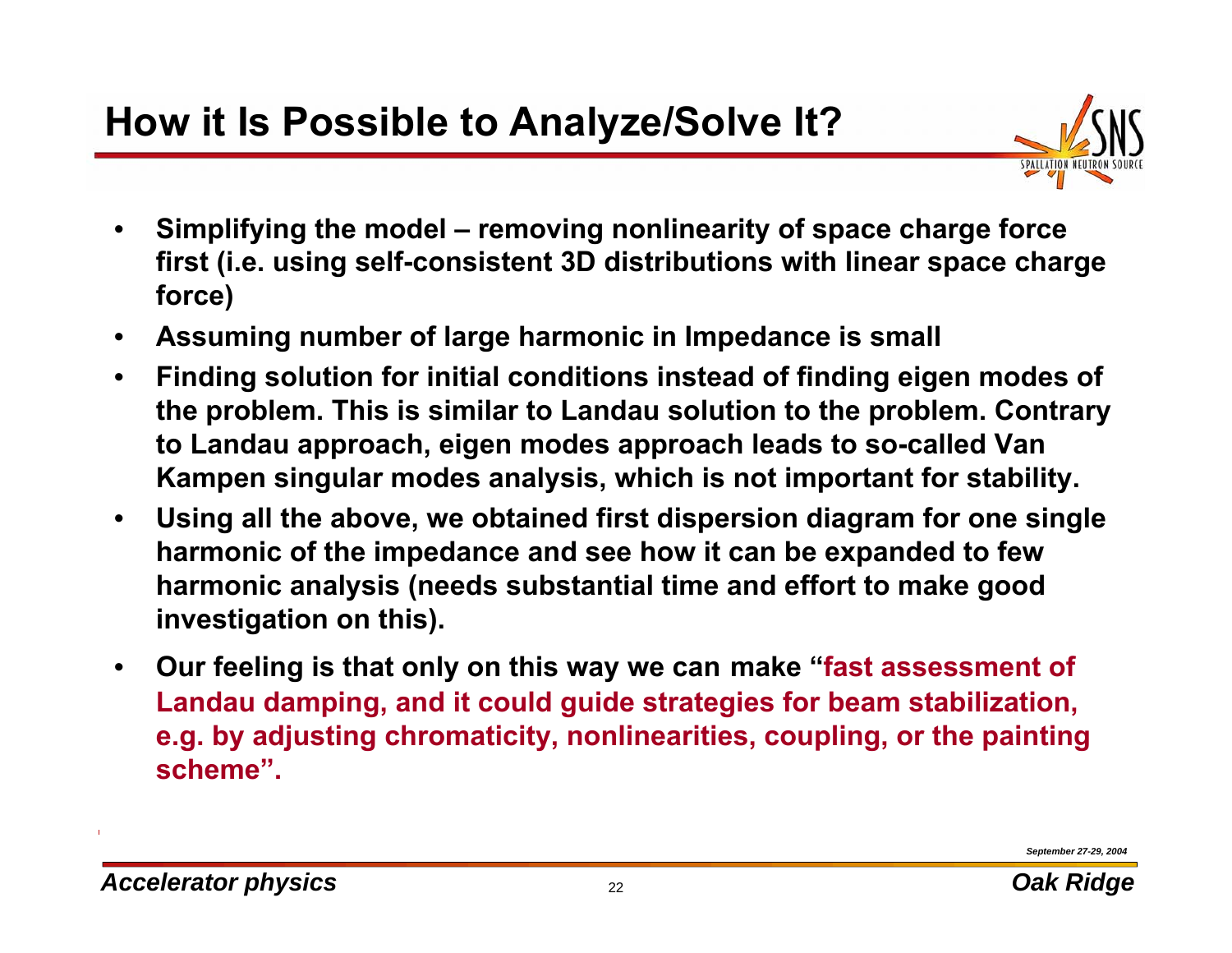## **How it Is Possible to Analyze/Solve It?**



- • **Simplifying the model – removing nonlinearity of space charge force first (i.e. using self-consistent 3D distributions with linear space charge force)**
- •**Assuming number of large harmonic in Impedance is small**
- • **Finding solution for initial conditions instead of finding eigen modes of the problem. This is similar to Landau solution to the problem. Contrary to Landau approach, eigen modes approach leads to so-called Van Kampen singular modes analysis, which is not important for stability.**
- • **Using all the above, we obtained first dispersion diagram for one single harmonic of the impedance and see how it can be expanded to few harmonic analysis (needs substantial time and effort to make good investigation on this).**
- $\bullet$  **Our feeling is that only on this way we can make "fast assessment of Landau damping, and it could guide strategies for beam stabilization, e.g. by adjusting chromaticity, nonlinearities, coupling, or the painting scheme".**

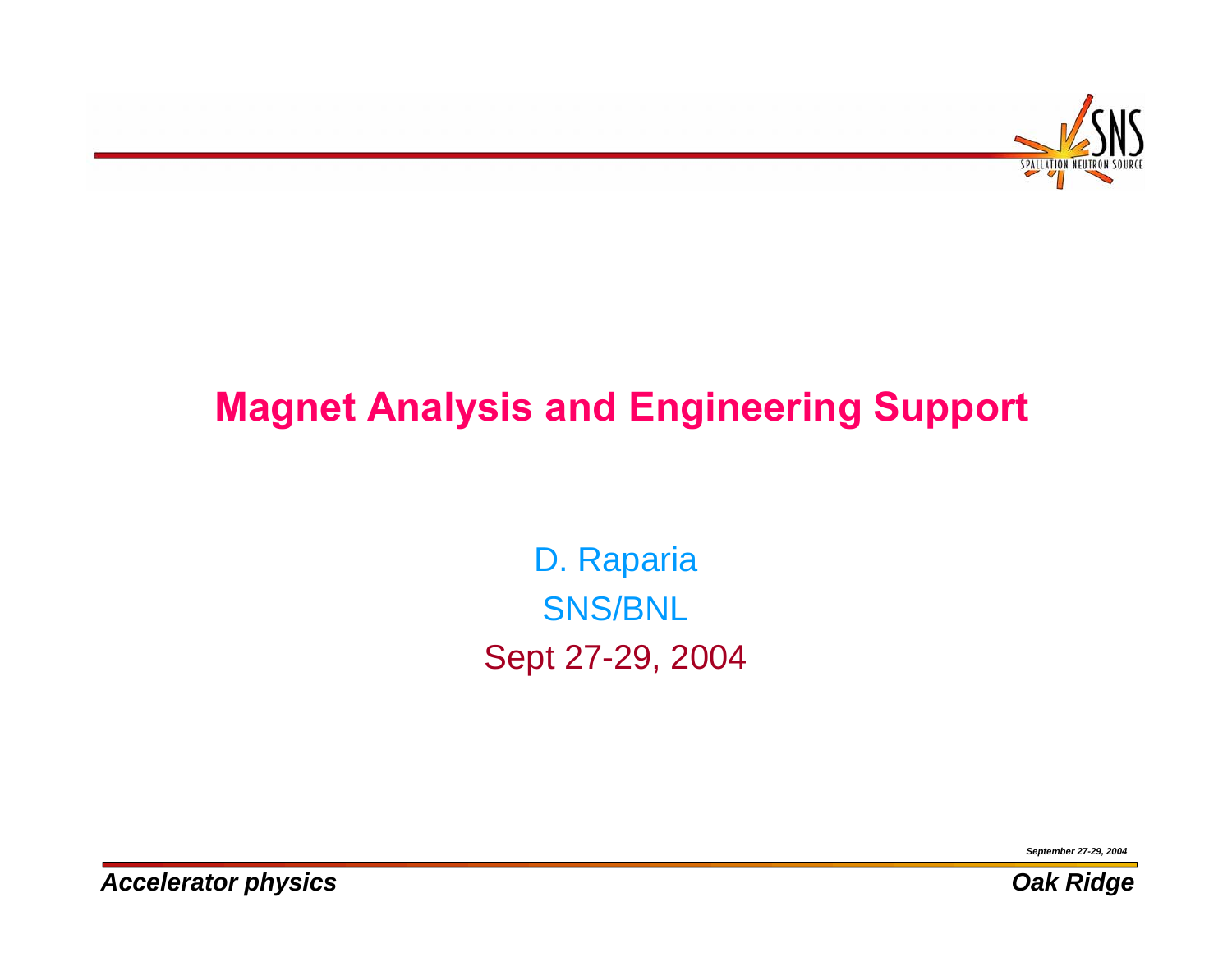

# **Magnet Analysis and Engineering Support**

D. Raparia SNS/BNL Sept 27-29, 2004

*September 27-29, 2004*





*Accelerator physics Oak Ridge*

 $\mathbf{I}$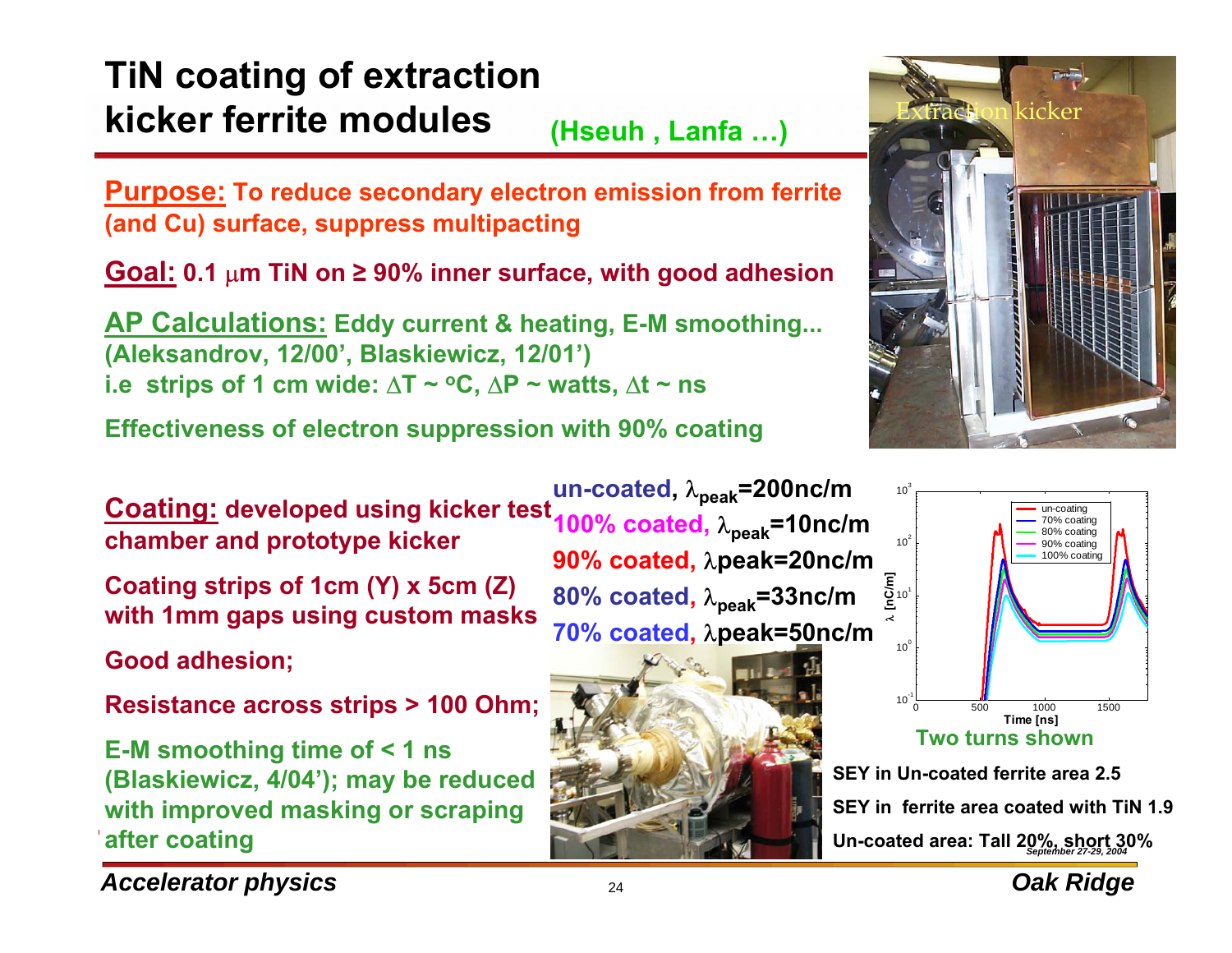#### **TiN coating of extraction kicker ferrite modules**Extraction kicker **(Hseuh , Lanfa …)**

**Purpose: To reduce secondary electron emission from ferrite (and Cu) surface, suppress multipacting**

**Goal: 0.1** µ**m TiN on ≥ 90% inner surface, with good adhesion**

**AP Calculations: Eddy current & heating, E-M smoothing... (Aleksandrov, 12/00', Blaskiewicz, 12/01') i.e strips of 1 cm wide:**  $\Delta T \sim$  **°C,**  $\Delta P \sim$  **watts,**  $\Delta t \sim$  **ns** 

**Effectiveness of electron suppression with 90% coating** 

**Coating: developed using kicker test chamber and prototype kicker**

**Coating strips of 1cm (Y) x 5cm (Z) with 1mm gaps using custom masks**

**Good adhesion;**

**Resistance across strips > 100 Ohm;**

**E-M smoothing time of < 1 ns (Blaskiewicz, 4/04'); may be reduced with improved masking or scraping after coating**

**un-coated,** λ**peak=200nc/m 100% coated,** λ**peak=10nc/m 90% coated,** λ**peak=20nc/m 80% coated,** <sup>λ</sup>**peak=33nc/m 70% coated,** λ**peak=50nc/m**







**SEY in Un-coated ferrite area 2.5**

**SEY in ferrite area coated with TiN 1.9**

*September 27-29, 2004* **Un-coated area: Tall 20%, short 30%**



*Accelerator physics biggerator physics biggerator <b><i>Dak Ridge*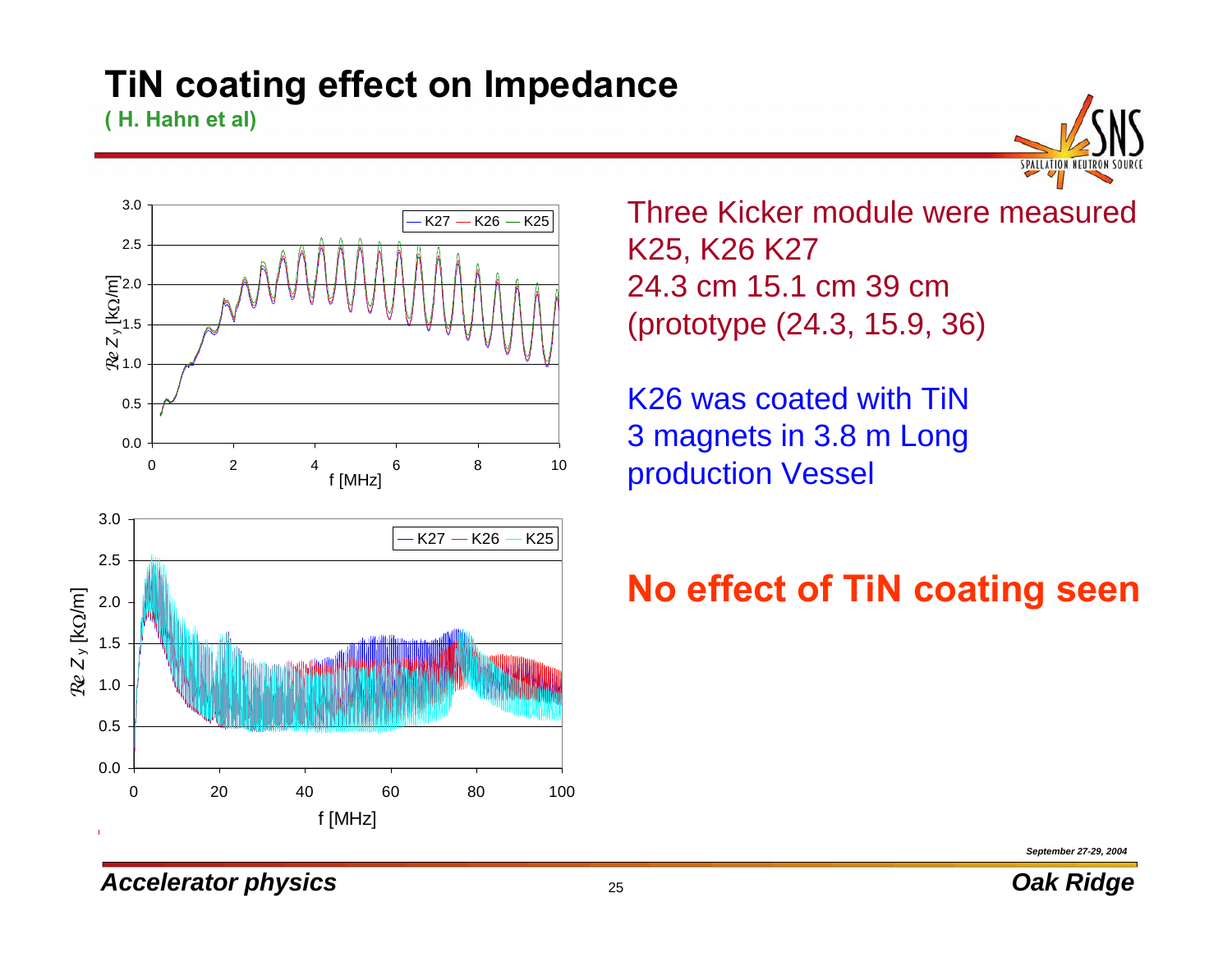#### **TiN coating effect on Impedance**

**( H. Hahn et al)**



 $\overline{\mathcal{L}_{K25}}$  Three Kicker module were measured K25, K26 K27 24.3 cm 15.1 cm 39 cm(prototype (24.3, 15.9, 36)

> K26 was coated with TiN 3 magnets in 3.8 m Long production Vessel

### **No effect of TiN coating seen**

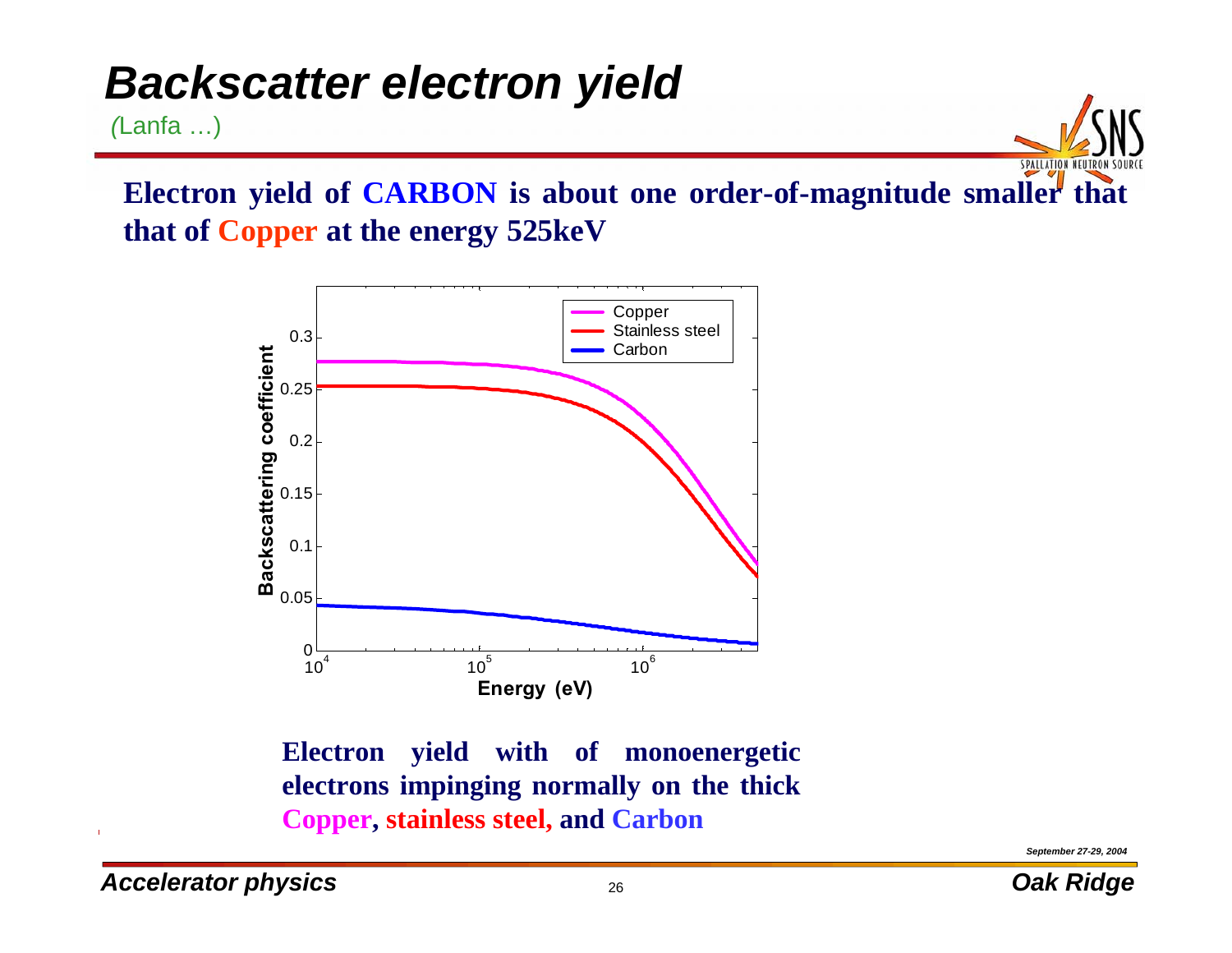# *Backscatter electron yield*

*(*Lanfa …)

**Electron yield of CARBON is about one order-of-magnitude smaller that that of Copper at the energy 525keV**



**Electron yield with of monoenergetic electrons impinging normally on the thick Copper, stainless steel, and Carbon**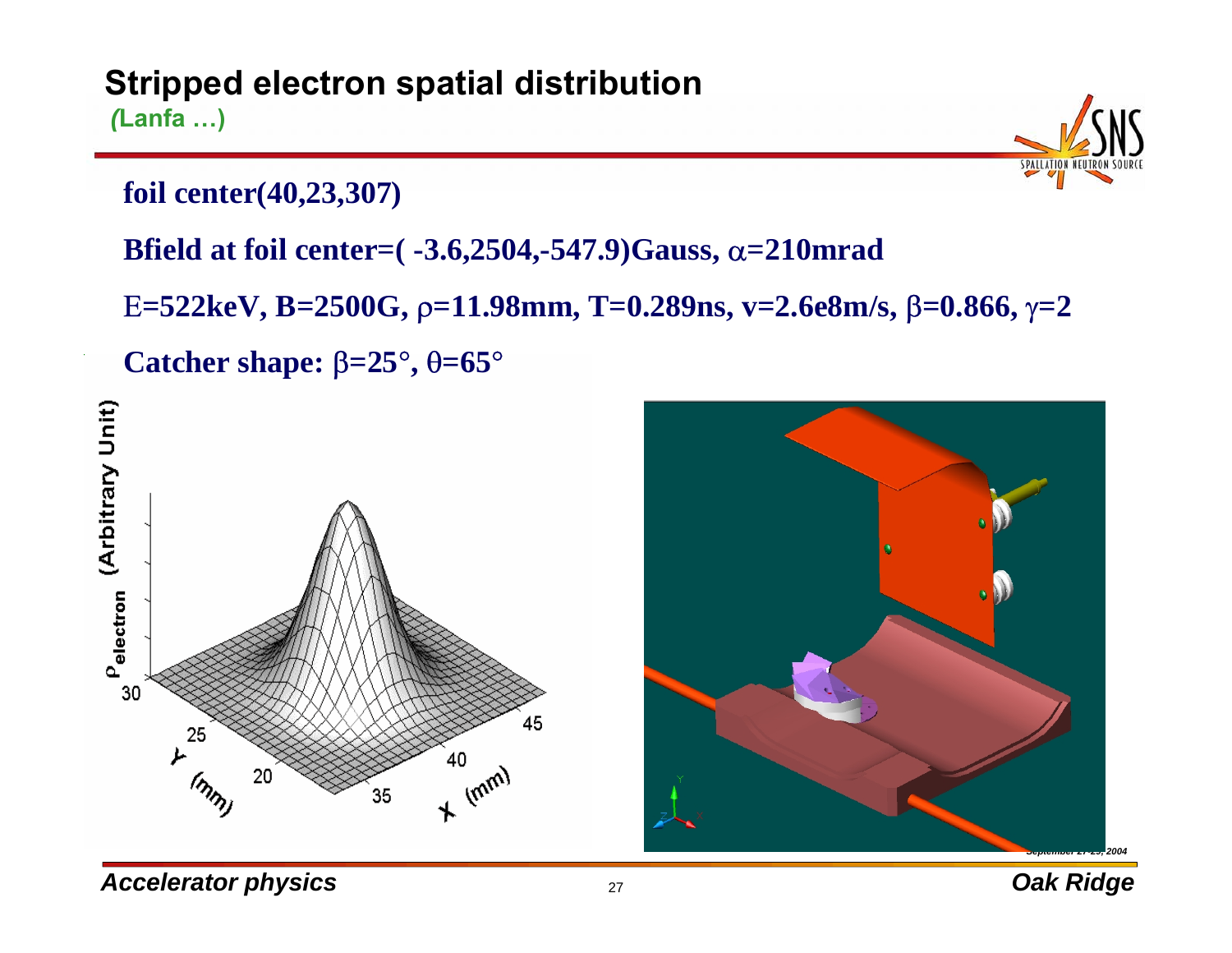#### **Stripped electron spatial distribution** *(***Lanfa …)**

**foil center(40,23,307)**

**Bfield at foil center=( -3.6,2504,-547.9)Gauss,** <sup>α</sup>**=210mrad**

Ε**=522keV, B=2500G,** ρ**=11.98mm, T=0.289ns, v=2.6e8m/s,** β**=0.866,** γ**=2**

**Catcher shape:** β**=25**°**,** θ**=65**°



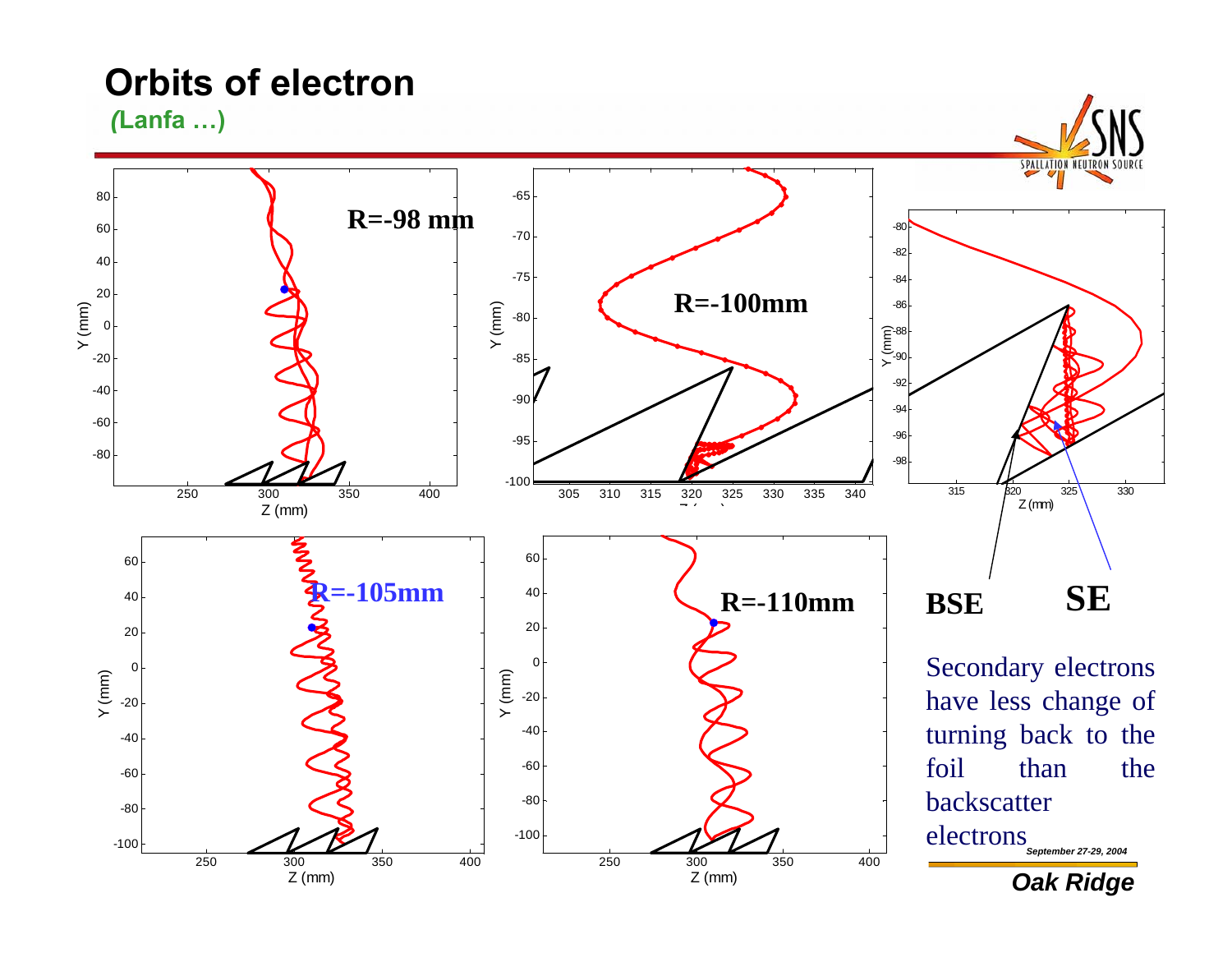**Orbits of electron**

*(***Lanfa …)**

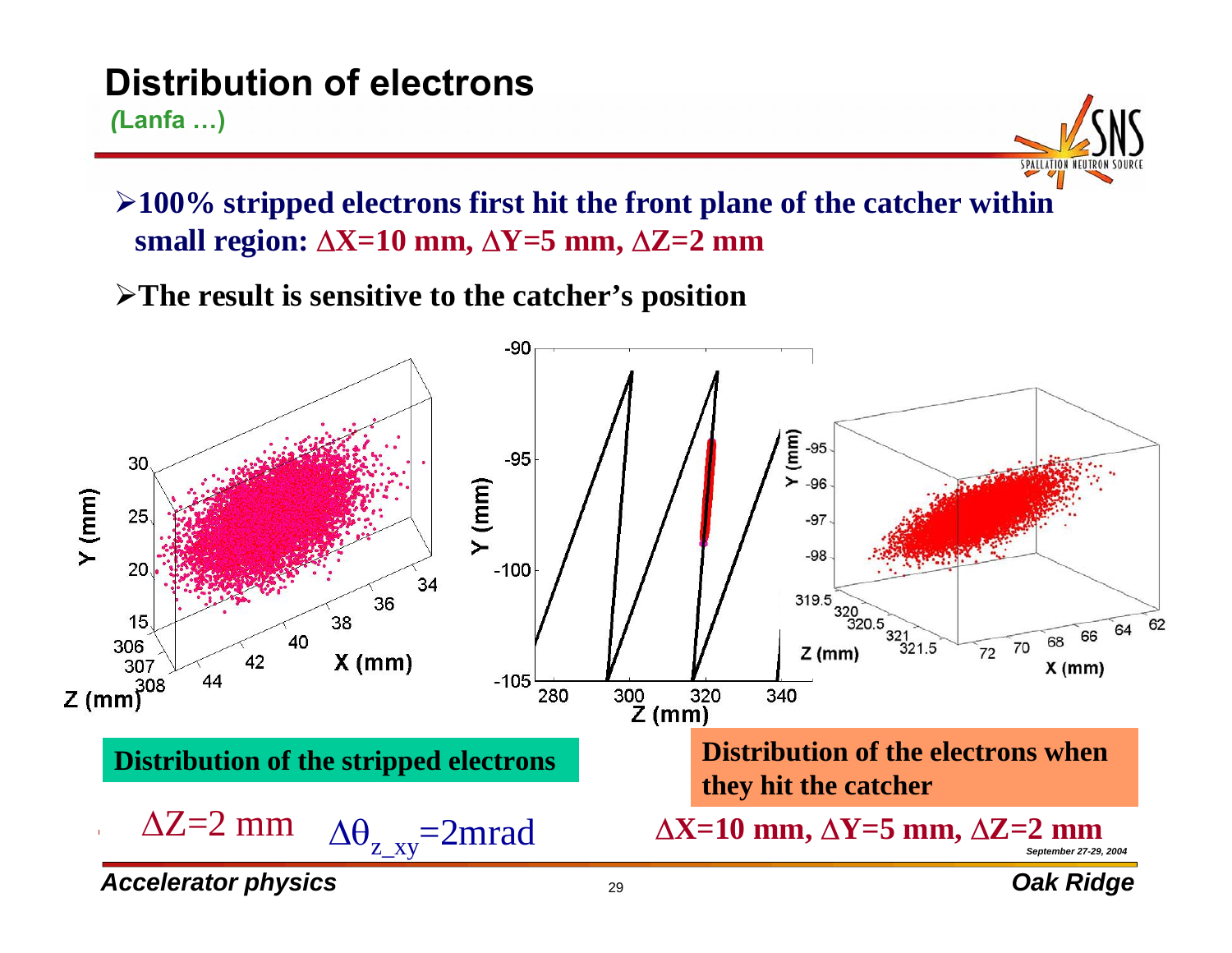#### **Distribution of electrons** *(***Lanfa …)**

¾**100% stripped electrons first hit the front plane of the catcher within small region:** ∆**X=10 mm,** ∆**Y=5 mm,** ∆**Z=2 mm**

¾**The result is sensitive to the catcher's position** 

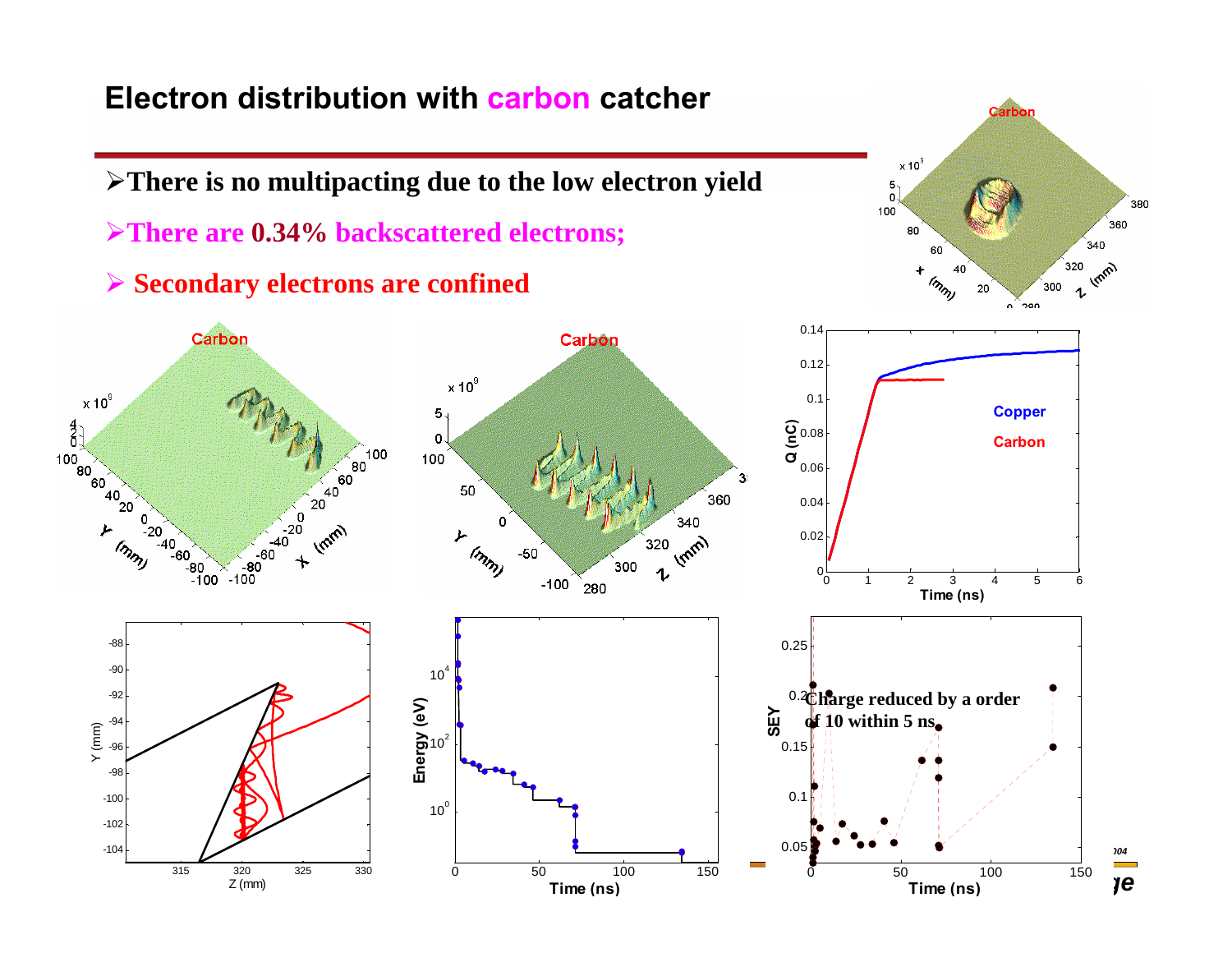#### **Electron distribution with carbon catcher**

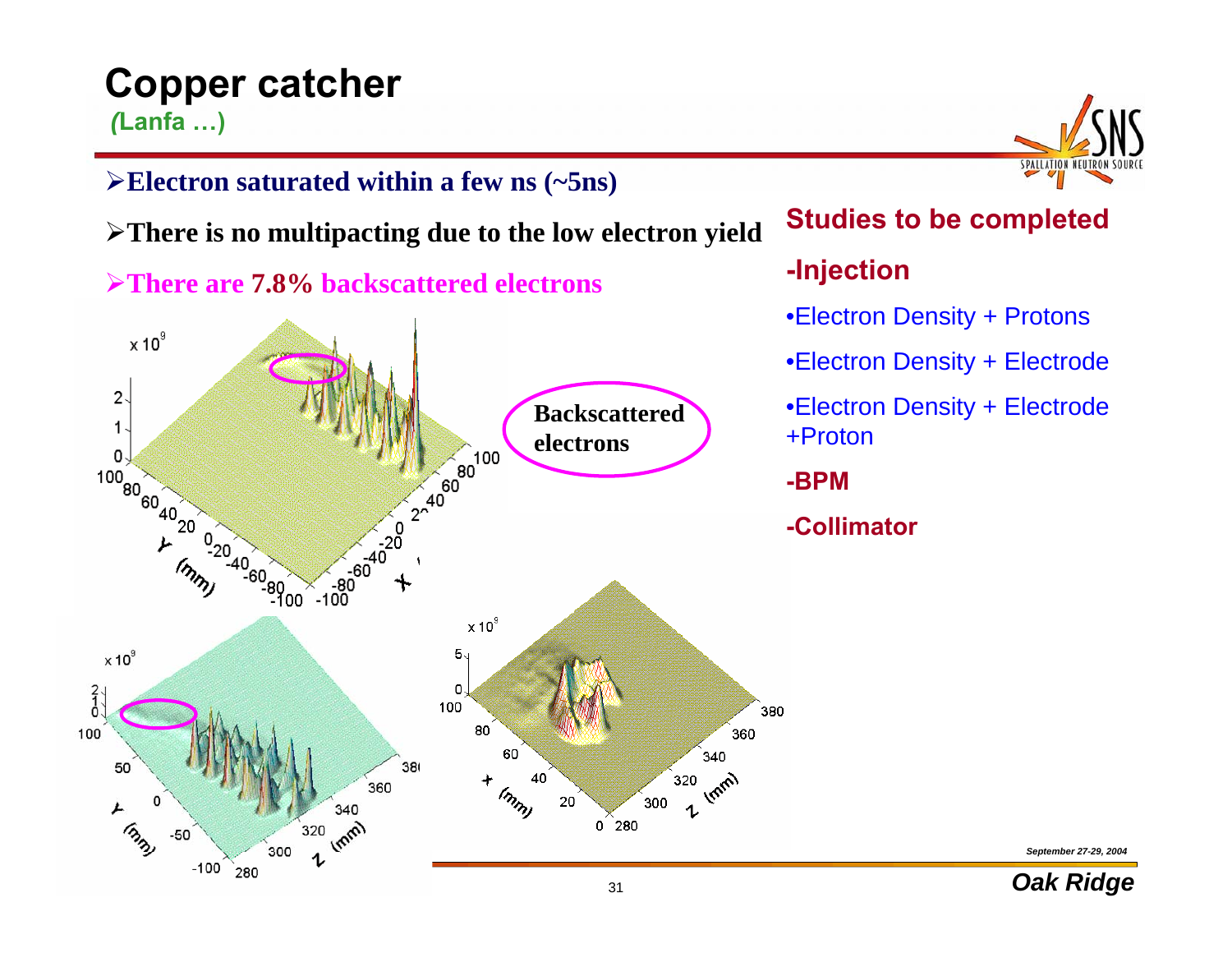#### **Copper catcher** *(***Lanfa …)**

¾**Electron saturated within a few ns (~5ns)** 

¾**There is no multipacting due to the low electron yield**

¾**There are 7.8% backscattered electrons**



**Studies to be completed** 

#### **-Injection**

- •Electron Density + Protons
- •Electron Density + Electrode
- •Electron Density + Electrode +Proton

**-BPM**

**-Collimator**

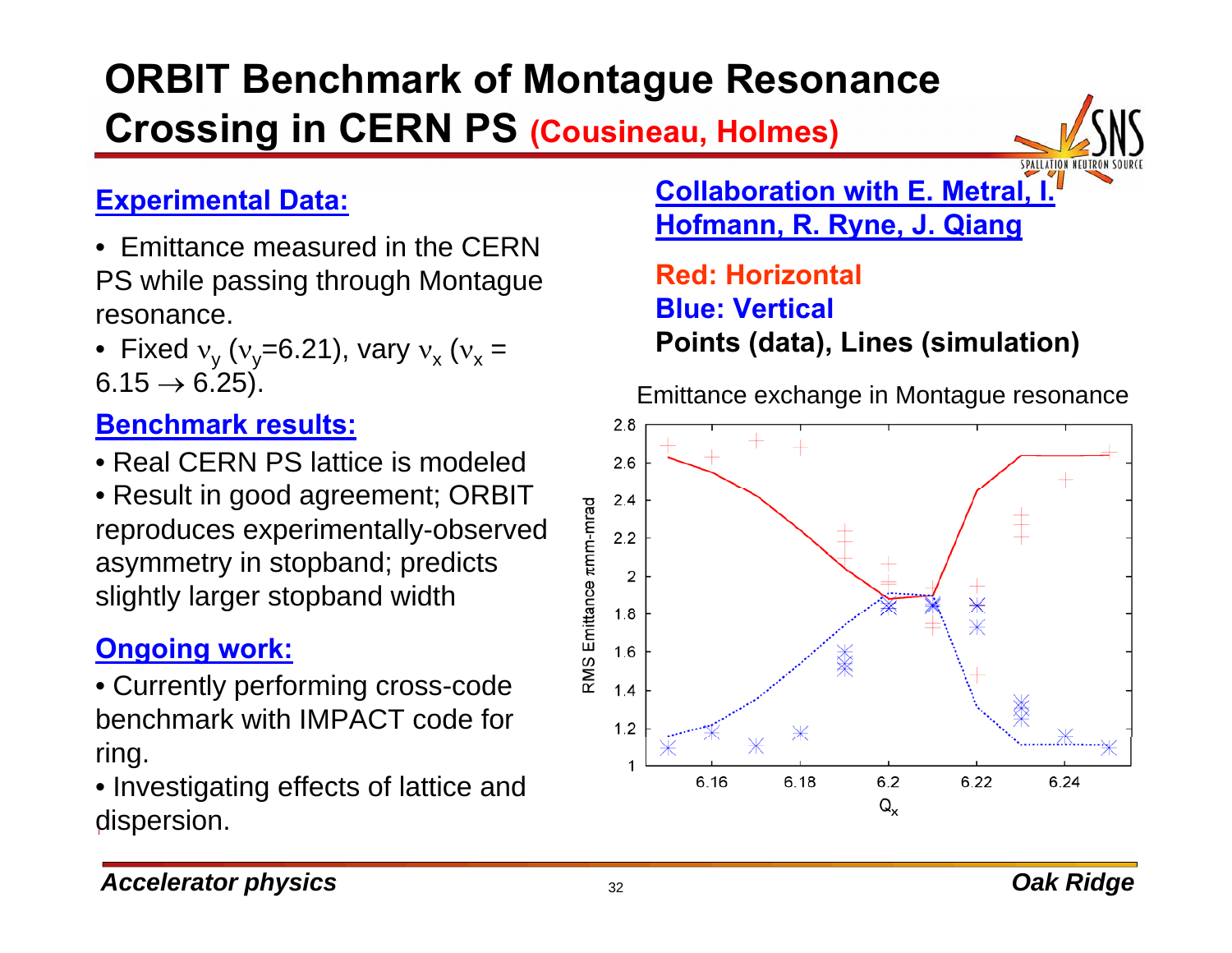# **ORBIT Benchmark of Montague Resonance Crossing in CERN PS (Cousineau, Holmes)**



- Emittance measured in the CERN PS while passing through Montague resonance.
- Fixed  $v_y$  ( $v_y$ =6.21), vary  $v_x$  ( $v_x$  =  $6.15 \rightarrow 6.25$ ).

#### **Benchmark results:**

- Real CERN PS lattice is modeled
- Result in good agreement; ORBIT reproduces experimentally-observed asymmetry in stopband; predicts slightly larger stopband width

#### **Ongoing work:**

- Currently performing cross-code benchmark with IMPACT code for ring.
- Investigating effects of lattice and dispersion.

**Collaboration with E. Metral, I. Hofmann, R. Ryne, J. Qiang Experimental Data:**

> **Red: HorizontalBlue: Vertical Points (data), Lines (simulation)**

Emittance exchange in Montague resonance



#### *Accelerator physics Oak Ridge*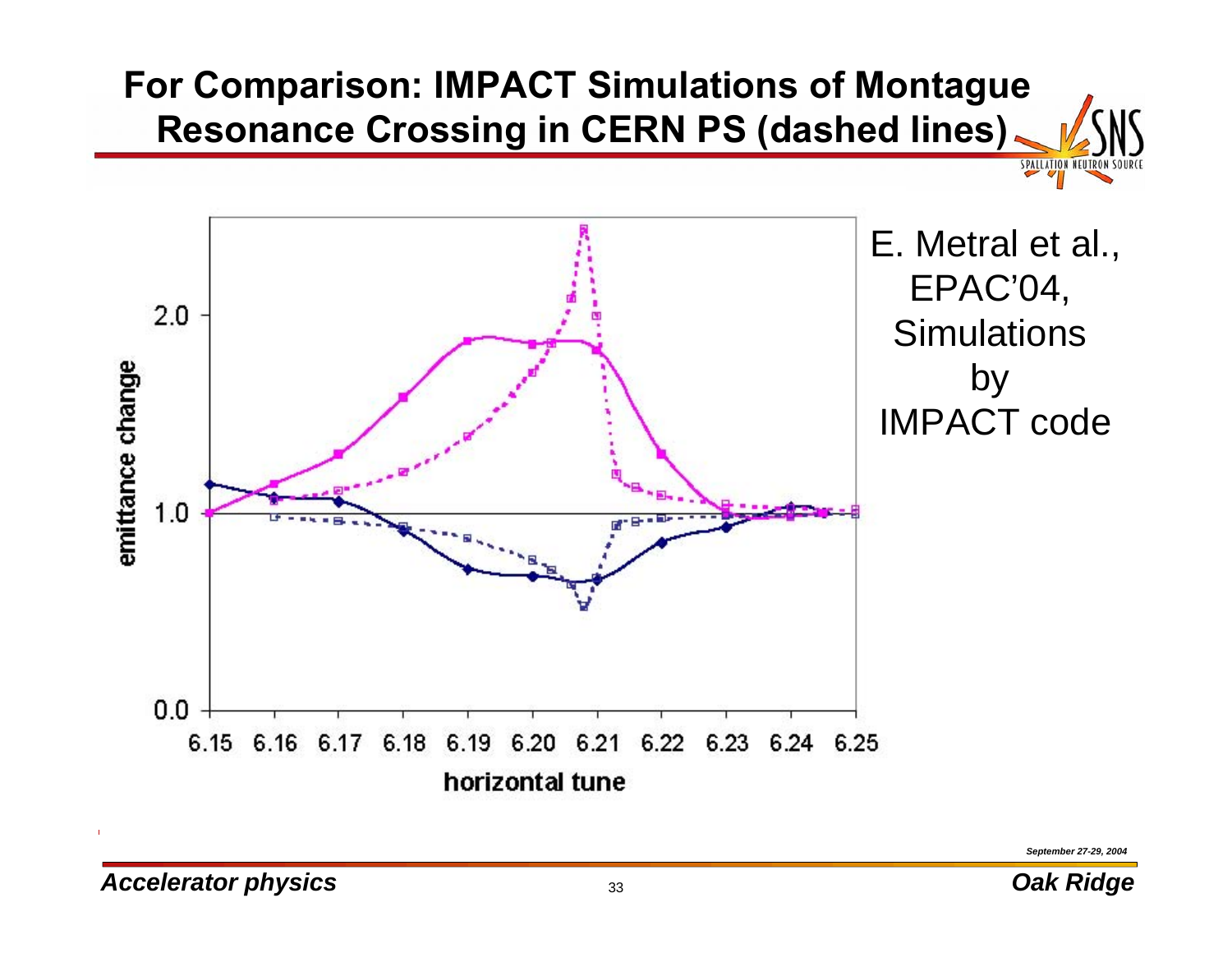